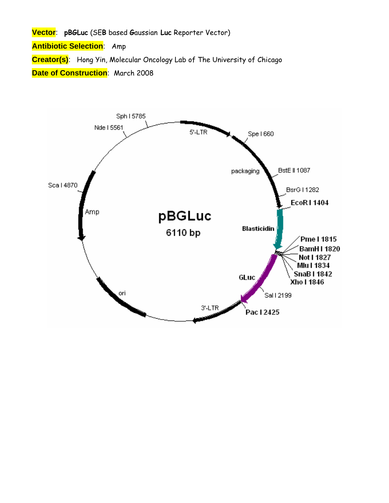**Vector**: **pBGLuc** (SE**B** based **G**aussian **Luc** Reporter Vector)

**Antibiotic Selection**: Amp

**Creator(s)**: Hong Yin, Molecular Oncology Lab of The University of Chicago

**Date of Construction**: March 2008

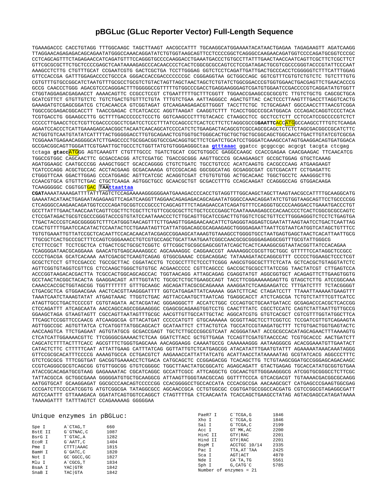## **pBGLuc (GLuc Reporter Vector) Full-Length Sequence**

TGAAAGACCC CACCTGTAGG TTTGGCAAGC TAGCTTAAGT AACGCCATTT TGCAAGGCATGGAAAATACATAACTGAGAA TAGAGAAGTT AGATCAAGG TTAGGAACAGAGAGACAGCAGAATATGGGCCAAACAGGATATCTGTGGTAAGCAGTTCCTCCCCGGCTCAGGGCCAAGAACAGATGGTCCCCAGATGCGGTCCCGC CCTCAGCAGTTTCTAGAGAACCATCAGATGTTTCCAGGGTGCCCCAAGGACCTGAAATGACCCTGTGCCTTATTTGAACTAACCAATCAGTTCGCTTCTCGCTTCT GTTCGCGCGCTTCTGCTCCCCGAGCTCAATAAAAGAGCCCACAACCCCTCACTCGGCGCGCCAGTCCTCCGATAGACTGCGTCGCCCGGGTACCCGTATTCCCAAT AAAGCCTCTTG CTGTTTGCAT CCGAATCGTG GACTCGCTGA TCCTTGGGAG GGTCTCCTCAGATTGATTGACTGCCCACCTCGGGGGTCTTTCATTTGGAG GTTCCACCGA GATTTGGAGACCCCTGCCCA GGGACCACCGACCCCCCCGC CGGGAGGTAA GCTGGCCAGC GGTCGTTTCGTGTCTGTCTC TGTCTTTGTG CGTGTTTGTGCCGGCATCTAATGTTTGCGCCTGCGTCTGTACTAGTTAGCTAACTAGCTCTGTATCTGGCGGACCCGTGGTGGAACTGACGAGTTCTGAACACCCG GCCG CAACCCTGGG AGACGTCCCAGGGACTTTGGGGGCCGTTTTTGTGGCCCGACCTGAGGAAGGGAGTCGATGTGGAATCCGACCCCGTCAGGATATGTGGTT CTGGTAGGAGACGAGAACCT AAAACAGTTC CCGCCTCCGT CTGAATTTTTGCTTTCGGTT TGGAACCGAAGCCGCGCGTC TTGTCTGCTG CAGCGCTGCA GCATCGTTCT GTGTTGTCTC TGTCTGACTGTGTTTCTGTA TTTGTCTGAA AATTAGGGCC AGACTGTTAC CACTCCCTTAAGTTTGACCTTAGGTCACTG GAAAGATGTCGAGCGGATCG CTCACAACCA GTCGGTAGAT GTCAAGAAGAGACGTTGGGT TACCTTCTGC TCTGCAGAAT GGCCAACCTTTAACGTCGGA TGGCCGCGAGACGGCACCTT TAACCGAGAC CTCATCACCC AGGTTAAGAT CAAGGTCTTT TCACCTGGCCCGCATGGACA CCCAGACCAGGTCCCCTACA TCGTGACCTG GGAAGCCTTG GCTTTTGACCCCCCTCCCTG GGTCAAGCCCTTTGTACACC CTAAGCCTCC GCCTCCTCTT CCTCCATCCGCCCCGTCTCT CCCCCTTGAACCTCCTCGTTCGACCCCGCCTCGATCCTCCCTTTATCCAGCCCTCACTCCTTCTCTAGGCGCCG**GAATTC**ACCATGGCCAAGCCTTTGTCTCAAGA AGAATCCACCCTCATTGAAAGAGCAACGGCTACAATCAACAGCATCCCCATCTCTGAAGACTACAGCGTCGCCAGCGCAGCTCTCTCTAGCGACGGCCGCATCTTC ACTGGTGTCAATGTATATCATTTTACTGGGGGACCTTGTGCAGAACTCGTGGTGCTGGGCACTGCTGCTGCTGCGGCAGCTGGCAACCTGACTTGTATCGTCGCGA TCGGAAATGAGAACAGGGGCATCTTGAGCCCCTGCGGACGGTGCCGACAGGTGCTTCTCGATCTGCATCCTGGGATCAAAGCCATAGTGAAGGACAGTGATGGACA GCCGACGGCAGTTGGGATTCGTGAATTGCTGCCCTCTGGTTATGTGTGGGAGGGCtaa **gtttaaac** ggatcc gcggccgc acgcgt tacgta ctcgag tctaga **gtacc**ATGGG AGTCAAAGTT CTGTTTGCCC TGATCTGCAT CGCTGTGGCC GAGGCCAAGC CCACCGAGAA CAACGAAGAC TTCAACATCG TGGCCGTGGC CAGCAACTTC GCGACCACGG ATCTCGATGC TGACCGCGGG AAGTTGCCCG GCAAGAAGCT GCCGCTGGAG GTGCTCAAAG AGATGGAAGC CAATGCCCGG AAAGCTGGCT GCACCAGGGG CTGTCTGATC TGCCTGTCCC ACATCAAGTG CACGCCCAAG ATGAAGAAGT TCATCCCAGG ACGCTGCCAC ACCTACGAAG GCGACAAAGA GTCCGCACAG GGCGGCATAG GCGAGGCGAT CGTCGACATT CCTGAGATTC CTGGGTTCAA GGACTTGGAG CCCATGGAGC AGTTCATCGC ACAGGTCGAT CTGTGTGTGG ACTGCACAAC TGGCTGCCTC AAAGGGCTTG CCAACGTGCA GTGTTCTGAC CTGCTCAAGA AGTGGCTGCC GCAACGCTGT GCGACCTTTG CCAGCAAGAT CCAGGGCCAG GTGGACAAGA TCAAGGGGGC CGGTGGTGAC **TAAttaattaa CGAT**AAAATAAAAGATTTTATTTAGTCTCCAGAAAAAGGGGGGAATGAAAGACCCCACCTGTAGGTTTGGCAAGCTAGCTTAAGTAACGCCATTTTGCAAGGCATG GAAAATACATAACTGAGAATAGAGAAGTTCAGATCAAGGTTAGGAACAGAGAGACAGCAGAATATGGGCCAAACAGGATATCTGTGGTAAGCAGTTCCTGCCCCGG CTCAGGGCCAAGAACAGATGGTCCCCAGATGCGGTCCCGCCCTCAGCAGTTTCTAGAGAACCATCAGATGTTTCCAGGGTGCCCCAAGGACCTGAAATGACCCTGT GCCTTATTTGAACTAACCAATCAGTTCGCTTCTCGCTTCTGTTCGCGCGCTTCTGCTCCCCGAGCTCAATAAAAGAGCCCACAACCCCTCACTCGGCGCGCCAGTC CTCCGATAGACTGCGTCGCCCGGGTACCCGTGTATCCAATAAACCCTCTTGCAGTTGCATCCGACTTGTGGTCTCGCTGTTCCTTGGGAGGGTCTCCTCTGAGTGA TTGACTACCCGTCAGCGGGGGTCTTTCATGGGTAACAGTTTCTTGAAGTTGGAGAACAACATTCTGAGGGTAGGAGTCGAATATTAAGTAATCCTGACTCAATTAG CCACTGTTTTGAATCCACATACTCCAATACTCCTGAAATAGTTCATTATGGACAGCGCAGAAGAGCTGGGGAGAATTAATTCGTAATCATGGTCATAGCTGTTTCC TGTGTGAAATTGTTATCCGCTCACAATTCCACACAACATACGAGCCGGAAGCATAAAGTGTAAAGCCTGGGGTGCCTAATGAGTGAGCTAACTCACATTAATTGCG TTGCGCTCACTGCCCGCTTTCCAGTCGGGAAACCTGTCGTGCCAGCTGCATTAATGAATCGGCCAACGCGCGGGGAGAGGCGGTTTGCGTATTGGGCG CTCTTCCGCT TCCTCGCTCA CTGACTCGCTGCGCTCGGTC GTTCGGCTGCGGCGAGCGGTATCAGCTCACTCAAAGGCGGTAATACGGTTATCCACAGAA TCAGGGGATAACGCAGGAAA GAACATGTGAGCAAAAGGCC AGCAAAAGGC CAGGAACCGT AAAAAGGCCGCGTTGCTGGC GTTTTTCCATAGGCTCCGCC CCCCTGACGA GCATCACAAA AATCGACGCTCAAGTCAGAG GTGGCGAAAC CCGACAGGAC TATAAAGATACCAGGCGTTT CCCCCTGGAAGCTCCCTCGT GCGCTCTCCT GTTCCGACCC TGCCGCTTAC CGGATACCTG TCCGCCTTTCTCCCTTCGGG AAGCGTGGCGCTTTCTCATA GCTCACGCTGTAGGTATCTC AGTTCGGTGTAGGTCGTTCG CTCCAAGCTGGGCTGTGTGC ACGAACCCCC CGTTCAGCCC GACCGCTGCGCCTTATCCGG TAACTATCGT CTTGAGTCCA ACCCGGTAAGACACGACTTA TCGCCACTGGCAGCAGCCAC TGGTAACAGG ATTAGCAGAG CGAGGTATGT AGGCGGTGCT ACAGAGTTCTTGAAGTGGTG GCCTAACTACGGCTACACTA GAAGGACAGT ATTTGGTATC TGCGCTCTGCTGAAGCCAGT TACCTTCGGAAAAAGAGTTG GTAGCTCTTG ATCCGGCAAA CAAACCACCGCTGGTAGCGG TGGTTTTTTT GTTTGCAAGC AGCAGATTACGCGCAGAAAA AAAGGATCTCAAGAAGATCC TTTGATCTTT TCTACGGGGT CTGACGCTCA GTGGAACGAA AACTCACGTTAAGGGATTTT GGTCATGAGATTATCAAAAA GGATCTTCAC CTAGATCCTT TTAAATTAAAAATGAAGTTT TAAATCAATCTAAAGTATAT ATGAGTAAAC TTGGTCTGAC AGTTACCAATGCTTAATCAG TGAGGCACCT ATCTCAGCGA TCTGTCTATTTCGTTCATCC ATAGTTGCCTGACTCCCCGT CGTGTAGATA ACTACGATAC GGGAGGGCTT ACCATCTGGC CCCAGTGCTGCAATGATACC GCGAGACCCACGCTCACCGG CTCCAGATTT ATCAGCAATA AACCAGCCAGCCGGAAGGGC CGAGCGCAGAAGTGGTCCTG CAACTTTATC CGCCTCCATC CAGTCTATTAATTGTTGCCG GGAAGCTAGA GTAAGTAGTT CGCCAGTTAATAGTTTGCGC AACGTTGTTGCCATTGCTAC AGGCATCGTG GTGTCACGCT CGTCGTTTGGTATGGCTTCA TTCAGCTCCGGTTCCCAACG ATCAAGGCGA GTTACATGAT CCCCCATGTT GTGCAAAAAA GCGGTTAGCTCCTTCGGTCC TCCGATCGTTGTCAGAAGTA AGTTGGCCGC AGTGTTATCA CTCATGGTTATGGCAGCACT GCATAATTCT CTTACTGTCA TGCCATCCGTAAGATGCTTT TCTGTGACTGGTGAGTACTC AACCAAGTCA TTCTGAGAAT AGTGTATGCG GCGACCGAGT TGCTCTTGCCCGGCGTCAAT ACGGGATAAT ACCGCGCCACATAGCAGAACTTTAAAAGTG CTCATCATTGGAAAACGTTC TTCGGGGCGAAAACTCTCAA GGATCTTACC GCTGTTGAGA TCCAGTTCGATGTAACCCAC TCGTGCACCC AACTGATCTT CAGCATCTTTTACTTTCACC AGCGTTTCTGGGTGAGCAAA AACAGGAAGG CAAAATGCCG CAAAAAAGGG AATAAGGGCG ACACGGAAATGTTGAATACT CATACTCTTC CTTTTTCAAT ATTATTGAAG CATTTATCAG GGTTATTGTCTCATGAGCGG ATACATATTTGAATGTATTT AGAAAAATAAACAAATAGGG GTTCCGCGCACATTTCCCCG AAAAGTGCCA CCTGACGTCT AAGAAACCATTATTATCATG ACATTAACCTATAAAAATAG GCGTATCACG AGGCCCTTTC GTCTCGCGCG TTTCGGTGAT GACGGTGAAAACCTCTGACA CATGCAGCTC CCGGAGACGG TCACAGCTTG TCTGTAAGCGGATGCCGGGAGCAGACAAGC CCGTCAGGGCGCGTCAGCGG GTGTTGGCGG GTGTCGGGGC TGGCTTAACTATGCGGCATC AGAGCAGATT GTACTGAGAG TGCACCATATGCGGTGTGAA ATACCGCACAGATGCGTAAG GAGAAAATAC CGCATCAGGC GCCATTCGCC ATTCAGGCTG CGCAACTGTTGGGAAGGGCG ATCGGTGCGGGCCTCTTCGC TATTACGCCA GCTGGCGAAA GGGGGATGTGCTGCAAGGCG ATTAAGTTGGGTAACGCCAG GGTTTTCCCA GTCACGACGT TGTAAAACGACGGCGCAAGG AATGGTGCAT GCAAGGAGAT GGCGCCCAACAGTCCCCCGG CCACGGGGCCTGCCACCATA CCCACGCCGA AACAAGCGCT CATGAGCCCGAAGTGGCGAG CCCGATCTTCCCCATCGGTG ATGTCGGCGA TATAGGCGCC AGCAACCGCA CCTGTGGCGC CGGTGATGCCGGCCACGATG CGTCCGGCGTAGAGGCGATT AGTCCAATTT GTTAAAGACA GGATATCAGTGGTCCAGGCT CTAGTTTTGA CTCAACAATA TCACCAGCTGAAGCCTATAG AGTACGAGCCATAGATAAAA TAAAAGATTT TATTTAGTCT CCAGAAAAAG GGGGGAA

|         | Unique enzymes in pBGLuc: |      | PaeR7 I | C`TCGA, G              | 1846 |
|---------|---------------------------|------|---------|------------------------|------|
|         |                           |      | Xho I   | C`TCGA, G              | 1846 |
| Spe I   | A`CTAG, T                 | 660  | Sal I   | G`TCGA.C               | 2199 |
|         |                           |      | Acc I   | GT `MK, AC             | 2200 |
| BstE II | G`GTNAC, C                | 1087 | HinC II | GTY RAC                | 2201 |
| BsrG I  | T`GTAC, A                 | 1282 |         |                        |      |
| ECOR I  | G`AATT.C                  | 1404 | Hind II | GTY RAC                | 2201 |
| Pme I   | CTTT AAAC                 | 1815 | BspM I  | ACCTGC 10/14           | 2335 |
| BamH I  | G`GATC, C                 | 1820 | Pac I   | TTA, AT`TAA            | 2425 |
|         |                           |      | Sca I   | AGT ACT                | 4870 |
| Not I   | GC `GGCC, GC              | 1827 | Nde I   | CA`TA, TG              | 5561 |
| Mlu I   | A CGCG.T                  | 1834 |         |                        |      |
| BsaA I  | YAC GTR                   | 1842 | Sph I   | G.CATG'C               | 5785 |
| SnaB I  | TAC GTA                   | 1842 |         | Number of enzymes = 21 |      |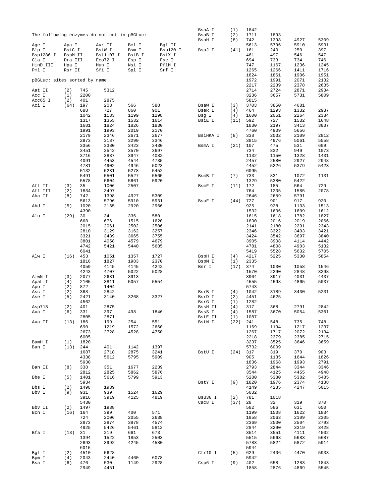|                                                                      |            |                               | The following enzymes do not cut in pBGLuc: |                              |                 | BsaA I<br>BsaB I<br>BsaH I | (1)<br>(2)<br>(8)  | 1842<br>1711<br>742 | 1893<br>1398       | 4927               | 5309         |
|----------------------------------------------------------------------|------------|-------------------------------|---------------------------------------------|------------------------------|-----------------|----------------------------|--------------------|---------------------|--------------------|--------------------|--------------|
| Age I<br>Apa I<br>Blp I<br>BsiC I<br>Bsp1286 I<br>BspM II<br>Dra III |            | Avr II<br>BsiW I<br>Bst1107 I | Bcl I<br>Bsm I<br>BstB I                    | Bql II<br>Bsp120 I<br>BstX I | BsaJ I          | (41)                       | 5613<br>161<br>461 | 5796<br>240<br>497  | 5910<br>250<br>546 | 5931<br>397<br>547 |              |
| Cla I<br>HinD III                                                    | Hpa I      |                               | Eco72 I<br>Mun I                            | Esp I<br>Nsi I               | Fse I<br>PflM I |                            |                    | 694<br>747          | 733<br>1167        | 734<br>1236        | 746<br>1245  |
| Pml I                                                                | Rsr II     |                               | Sfi I                                       | Spl I                        | Srf I           |                            |                    | 1265                | 1266               | 1411               | 1716         |
|                                                                      |            |                               |                                             |                              |                 |                            |                    | 1824                | 1861               | 1906               | 1951         |
| pBGLuc: sites sorted by name:                                        |            |                               |                                             |                              |                 |                            |                    | 1972                | 1991               | 2071               | 2132         |
| Aat II                                                               | (2)        | 745                           | 5312                                        |                              |                 |                            |                    | 2217<br>2714        | 2239<br>2724       | 2378<br>2871       | 2635<br>2934 |
| Acc I                                                                | (1)        | 2200                          |                                             |                              |                 |                            |                    | 3236                | 3657               | 5731               | 5809         |
| Acc65 I                                                              | (2)        | 401                           | 2875                                        |                              |                 |                            |                    | 5815                |                    |                    |              |
| Aci I                                                                | (64)       | 197                           | 203                                         | 566                          | 588             | BsaW I                     | (3)                | 3703                | 3850               | 4681               |              |
|                                                                      |            | 688<br>1042                   | 727<br>1133                                 | 860<br>1199                  | 901<br>1298     | BseR I<br>Bsg I            | (4)<br>(4)         | 464<br>1600         | 1293<br>2051       | 1332<br>2264       | 2937<br>2334 |
|                                                                      |            | 1317                          | 1355                                        | 1532                         | 1614            | BsiE I                     | (11)               | 592                 | 727                | 1532               | 1648         |
|                                                                      |            | 1681                          | 1824                                        | 1826                         | 1830            |                            |                    | 1830                | 2197               | 3413               | 3837         |
|                                                                      |            | 1991<br>2179                  | 1993<br>2346                                | 2019                         | 2170            |                            |                    | 4760                | 4909               | 5656               | 2812         |
|                                                                      |            | 2973                          | 3187                                        | 2671<br>3290                 | 2677<br>3346    | BsiHKA I                   | (8)                | 338<br>3815         | 2032<br>4976       | 2109<br>5061       | 5558         |
|                                                                      |            | 3356                          | 3380                                        | 3423                         | 3430            | BsmA I                     | (21)               | 107                 | 475                | 531                | 609          |
|                                                                      |            | 3451                          | 3542                                        | 3570                         | 3697            |                            |                    | 734                 | 832                | 949                | 1073         |
|                                                                      |            | 3716                          | 3837                                        | 3947                         | 4082            |                            |                    | 1132                | 1150               | 1328               | 1431         |
|                                                                      |            | 4091<br>4781                  | 4453<br>4902                                | 4544<br>4946                 | 4735<br>5023    |                            |                    | 2457<br>4452        | 2580<br>5226       | 2927<br>5379       | 2948<br>5423 |
|                                                                      |            | 5132                          | 5231                                        | 5278                         | 5452            |                            |                    | 6095                |                    |                    |              |
|                                                                      |            | 5491                          | 5501                                        | 5527                         | 5565            | BsmB I                     | (7)                | 733                 | 831                | 1072               | 1131         |
|                                                                      |            | 5578                          | 5604                                        | 5661                         | 5920            |                            |                    | 1329                | 5380               | 5422               |              |
| Afl II<br>Afl III                                                    | (3)<br>(2) | 35<br>1834                    | 1006<br>3497                                | 2507                         |                 | BsmF I                     | (11)               | 172<br>764          | 185<br>1205        | 564<br>1585        | 729<br>2078  |
| Aha II                                                               | (8)        | 742                           | 1398                                        | 4927                         | 5309            |                            |                    | 2646                | 2659               | 5791               |              |
|                                                                      |            | 5613                          | 5796                                        | 5910                         | 5931            | BsoF I                     | (44)               | 727                 | 901                | 917                | 920          |
| Ahd I                                                                | (5)        | 1020                          | 2165                                        | 2920                         | 2966            |                            |                    | 925                 | 928                | 1133               | 1513         |
| Alu I                                                                | (29)       | 4390<br>30                    | 34                                          | 336                          | 580             |                            |                    | 1532<br>1615        | 1606<br>1618       | 1609<br>1782       | 1612<br>1827 |
|                                                                      |            | 668                           | 676                                         | 1515                         | 1620            |                            |                    | 1830                | 2016               | 2019               | 2066         |
|                                                                      |            | 2015                          | 2061                                        | 2502                         | 2506            |                            |                    | 2141                | 2180               | 2291               | 2343         |
|                                                                      |            | 2810                          | 3129                                        | 3162                         | 3257            |                            |                    | 2346                | 3322               | 3403               | 3421         |
|                                                                      |            | 3321<br>3801                  | 3439<br>4058                                | 3665<br>4579                 | 3755<br>4679    |                            |                    | 3424<br>3905        | 3542<br>3908       | 3697<br>4114       | 3840<br>4442 |
|                                                                      |            | 4742                          | 5421                                        | 5440                         | 5685            |                            |                    | 4781                | 4808               | 4903               | 5132         |
|                                                                      |            | 6041                          |                                             |                              |                 |                            |                    | 5419                | 5528               | 5632               | 5705         |
| Alw I                                                                | (16)       | 453                           | 1051                                        | 1357                         | 1727            | BspH I                     | (4)                | 4217                | 5225               | 5330               | 5854         |
|                                                                      |            | 1816<br>4059                  | 1827<br>4145                                | 1983<br>4145                 | 2370<br>4242    | BspM I<br>Bsr I            | (1)<br>(17)        | 2335<br>374         | 1030               | 1058               | 1546         |
|                                                                      |            | 4243                          | 4707                                        | 5022                         | 5028            |                            |                    | 1570                | 2290               | 2848               | 3298         |
| AlwN I                                                               | (3)        | 2077                          | 2631                                        | 3913                         |                 |                            |                    | 3904                | 3917               | 4031               | 4437         |
| ApaL I                                                               | (4)        | 2105                          | 3811                                        | 5057                         | 5554            |                            |                    | 4555                | 4598               | 4865               | 5037         |
| Apo I<br>Asc I                                                       | (2)<br>(2) | 872<br>368                    | 1404<br>2842                                |                              |                 | BsrB I                     | (4)                | 5743<br>1042        | 3189               | 3430               | 5231         |
| Ase I                                                                | (5)        | 2421                          | 3140                                        | 3268                         | 3327            | BsrD I                     | (2)                | 4451                | 4625               |                    |              |
|                                                                      |            | 4562                          |                                             |                              |                 | BsrG I                     | (1)                | 1282                |                    |                    |              |
| Asp718                                                               | (2)        | 401                           | 2875                                        |                              |                 | BssH II<br>BssS I          | (4)                | 317                 | 368                | 2791               | 2842         |
| Ava I                                                                | (6)        | 331<br>2805                   | 397<br>2871                                 | 498                          | 1846            | BstE II                    | (4)<br>(1)         | 1587<br>1087        | 3670               | 5054               | 5361         |
| Ava II                                                               | (13)       | 186                           | 199                                         | 254                          | 551             | BstN I                     | (22)               | 241                 | 548                | 735                | 748          |
|                                                                      |            | 690                           | 1219                                        | 1572                         | 2660            |                            |                    | 1169                | 1194               | 1217               | 1237         |
|                                                                      |            | 2673<br>6005                  | 2728                                        | 4528                         | 4750            |                            |                    | 1267<br>2218        | 1717<br>2379       | 2072<br>2385       | 2134<br>2715 |
| BamH I                                                               | (1)        | 1820                          |                                             |                              |                 |                            |                    | 3237                | 3525               | 3646               | 3659         |
| Ban I                                                                | (13)       | 244                           | 401                                         | 1142                         | 1397            |                            |                    | 5732                | 6009               |                    |              |
|                                                                      |            | 1687                          | 2718                                        | 2875                         | 3241            | BstU I                     | (24)               | 317                 | 319                | 370                | 903          |
|                                                                      |            | 4338                          | 5612                                        | 5795                         | 5909            |                            |                    | 905                 | 1135               | 1644               | 1826         |
| Ban II                                                               | (8)        | 5930<br>338                   | 351                                         | 1677                         | 2239            |                            |                    | 1836<br>2793        | 1968<br>2844       | 1993<br>3344       | 2791<br>3346 |
|                                                                      |            | 2812                          | 2825                                        | 5862                         | 5876            |                            |                    | 3544                | 4125               | 4455               | 4948         |
| Bbe I                                                                | (5)        | 1401                          | 5616                                        | 5799                         | 5913            |                            |                    | 5280                | 5380               | 5382               | 5485         |
|                                                                      |            | 5934                          |                                             |                              |                 | BstY I                     | (9)                | 1820                | 1976               | 2374               | 4138         |
| Bbs I<br>Bbv I                                                       | (2)<br>(9) | 1498<br>931                   | 1939<br>939                                 | 1524                         | 1629            |                            |                    | 4149<br>5032        | 4235               | 4247               | 5015         |
|                                                                      |            | 3916                          | 3919                                        | 4125                         | 4819            | Bsu36 I                    | (2)                | 781                 | 1018               |                    |              |
|                                                                      |            | 5430                          |                                             |                              |                 | Cac8 I                     | (37)               | 28                  | 32                 | 319                | 370          |
| Bbv II                                                               | (2)        | 1497                          | 1938                                        |                              |                 |                            |                    | 582                 | 586                | 631                | 650          |
| Bcn I                                                                | (16)       | 164<br>724                    | 399<br>2006                                 | 400<br>2055                  | 571<br>2638     |                            |                    | 1199<br>1958        | 1508<br>2063       | 1622<br>2109       | 1834<br>2305 |
|                                                                      |            | 2873                          | 2874                                        | 3878                         | 4574            |                            |                    | 2369                | 2500               | 2504               | 2793         |
|                                                                      |            | 4925                          | 5426                                        | 5461                         | 5812            |                            |                    | 2844                | 3290               | 3319               | 3428         |
| Bfa I                                                                | (13)       | 31                            | 219                                         | 661                          | 673             |                            |                    | 3514                | 3551               | 4111               | 4502         |
|                                                                      |            | 1394<br>2693                  | 1522<br>3992                                | 1853<br>4245                 | 2503<br>4580    |                            |                    | 5515<br>5783        | 5663<br>5824       | 5683<br>5872       | 5687<br>5914 |
|                                                                      |            | 6015                          |                                             |                              |                 |                            |                    | 5944                |                    |                    |              |
| Bgl I                                                                | (2)        | 4510                          | 5628                                        |                              |                 | Cfr10 I                    | (5)                | 629                 | 2406               | 4470               | 5933         |
| Bpm I                                                                | (4)        | 2043                          | 2440                                        | 4460                         | 6078            |                            |                    | 5942                |                    |                    |              |
| Bsa I                                                                | (6)        | 476<br>2949                   | 530<br>4451                                 | 1149                         | 2928            | Csp6 I                     | (9)                | 402<br>1858         | 658<br>2876        | 1283<br>4869       | 1843<br>5545 |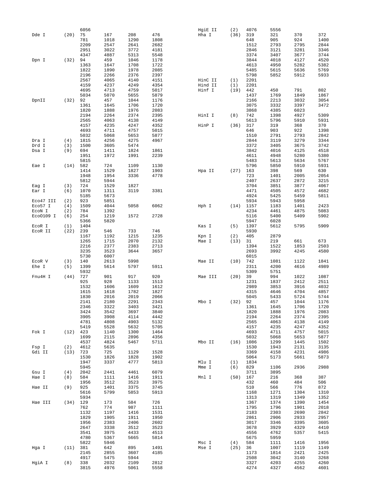| 781<br>1018<br>1290<br>1808<br>648<br>905<br>924<br>2209<br>2547<br>2641<br>2682<br>1512<br>2793<br>2795<br>2951<br>3022<br>3772<br>4181<br>2846<br>3121<br>3281<br>4347<br>4887<br>5313<br>5548<br>3374<br>3407<br>3677<br>459<br>1046<br>1178<br>3844<br>4018<br>4127<br>(32)<br>94<br>Dpn I<br>1708<br>1722<br>1363<br>1647<br>4613<br>4950<br>5282<br>1822<br>1890<br>1978<br>2085<br>5485<br>5615<br>5636<br>2196<br>2266<br>2376<br>2397<br>5798<br>5852<br>5912<br>2567<br>4065<br>4140<br>4151<br>HinC II<br>(1)<br>2201<br>4159<br>4237<br>4249<br>4354<br>Hind II<br>2201<br>(1)<br>4695<br>4713<br>4759<br>5017<br>Hinf I<br>442<br>450<br>791<br>(19)<br>5034<br>5070<br>5655<br>5879<br>1769<br>1849<br>1437<br>457<br>1044<br>1176<br>2166<br>2213<br>3032<br>DpnII<br>(32)<br>92<br>1706<br>1720<br>3075<br>3332<br>3397<br>1361<br>1645<br>1820<br>1888<br>1976<br>2083<br>3868<br>4385<br>6023<br>2194<br>2264<br>2374<br>2395<br>742<br>1398<br>4927<br>HinI I<br>(8)<br>2565<br>4063<br>4138<br>4149<br>5613<br>5796<br>5910<br>4157<br>4235<br>4247<br>4352<br>HinP I<br>317<br>319<br>368<br>(36)<br>4693<br>4711<br>4757<br>5015<br>646<br>903<br>922<br>5032<br>5068<br>5653<br>5877<br>1510<br>2791<br>2793<br>4256<br>4275<br>4967<br>2844<br>3119<br>3279<br>(4)<br>1815<br>Dra I<br>(3)<br>3605<br>5474<br>3372<br>3405<br>3675<br>Drd I<br>1500<br>Dsa I<br>(9)<br>694<br>1411<br>1824<br>1861<br>3842<br>4016<br>4125<br>1951<br>1972<br>1991<br>2239<br>4611<br>4948<br>5280<br>5815<br>5483<br>5634<br>5613<br>582<br>724<br>5796<br>(14)<br>1109<br>1130<br>5850<br>5910<br>Eae I<br>1529<br>1903<br>163<br>398<br>569<br>1414<br>1827<br>Hpa II<br>(27)<br>1948<br>1954<br>3336<br>4778<br>723<br>2005<br>1401<br>5812<br>5944<br>2407<br>2637<br>2872<br>724<br>1529<br>3704<br>3851<br>3877<br>(3)<br>1827<br>Eag I<br>1311<br>3119<br>3381<br>4471<br>4505<br>4572<br>Ear I<br>(6)<br>1070<br>5185<br>5673<br>4924<br>5425<br>5459<br>(2)<br>923<br>5851<br>5934<br>Eco47 III<br>5943<br>5958<br>5058<br>6062<br>Eco57 I<br>(4)<br>1509<br>4044<br>Hph I<br>(14)<br>1157<br>1183<br>1401<br>784<br>1392<br>4234<br>4461<br>4875<br>ECON I<br>(2)<br>Eco0109 I<br>1219<br>2728<br>5116<br>5400<br>5409<br>(6)<br>254<br>1572<br>5366<br>5820<br>5947<br>6028<br>1404<br>1397<br>5612<br>ECOR I<br>(1)<br>Kas I<br>(5)<br>5795<br>239<br>546<br>733<br>746<br>5930<br>ECOR II<br>(22)<br>1215<br>1235<br>405<br>2879<br>1167<br>1192<br>(2)<br>Kpn I<br>1265<br>1715<br>2070<br>2132<br>219<br>661<br>Mae I<br>(13)<br>31<br>2216<br>2377<br>2383<br>2713<br>1394<br>1522<br>1853<br>3235<br>3523<br>3644<br>3657<br>2693<br>3992<br>4245<br>5730<br>6007<br>6015<br>2613<br>5998<br>742<br>ECOR V<br>(3)<br>140<br>Mae II<br>(10)<br>1081<br>1122<br>(5)<br>5614<br>5797<br>5911<br>4200<br>4616<br>Ehe I<br>1399<br>2311<br>5932<br>5309<br>5751<br>727<br>901<br>917<br>920<br>39<br>Fnu4H I<br>(44)<br>Mae III<br>(20)<br>994<br>1022<br>925<br>928<br>1133<br>1513<br>1231<br>2412<br>1837<br>1532<br>1606<br>1609<br>1612<br>2989<br>3853<br>3916<br>1827<br>1615<br>1618<br>1782<br>4315<br>4646<br>4704<br>1830<br>2016<br>2019<br>2066<br>5045<br>5433<br>5724<br>2141<br>2180<br>2291<br>2343<br>(32)<br>92<br>457<br>1044<br>Mbo I<br>2346<br>3421<br>1361<br>1645<br>1706<br>3322<br>3403<br>3542<br>3697<br>3840<br>1820<br>1888<br>1976<br>3424<br>3905<br>3908<br>4114<br>4442<br>2194<br>2264<br>2374<br>4781<br>4808<br>4903<br>5132<br>2565<br>4063<br>4138<br>5705<br>5419<br>5528<br>5632<br>4157<br>4235<br>4247<br>423<br>1140<br>1300<br>1464<br>4693<br>4711<br>4757<br>Fok I<br>(12)<br>1699<br>2115<br>2896<br>4356<br>5032<br>5068<br>5653<br>4537<br>4824<br>5467<br>5711<br>1299<br>1445<br>Mbo II<br>(16)<br>1086<br>Fsp I<br>(2)<br>4612<br>5635<br>1530<br>1943<br>2131<br>Gdi II<br>723<br>725<br>1528<br>3369<br>4158<br>4231<br>(13)<br>1129<br>1530<br>1826<br>1828<br>1902<br>5064<br>5173<br>5661<br>1947<br>5813<br>3337<br>4777<br>Mlu I<br>(1)<br>1834<br>5945<br>829<br>1106<br>2936<br>Mme I<br>(6)<br>(4)<br>2042<br>2441<br>4461<br>6079<br>3711<br>3895<br>Gsu I<br>1911<br>(50)<br>167<br>Hae I<br>(8)<br>584<br>1111<br>1416<br>Mnl I<br>216<br>368<br>3512<br>3975<br>484<br>1956<br>3523<br>432<br>460<br>(9)<br>925<br>1401<br>3745<br>510<br>776<br>Hae II<br>3375<br>566<br>5616<br>5799<br>5853<br>5913<br>1168<br>1271<br>1304<br>5934<br>1313<br>1319<br>1349<br>726<br>(34)<br>129<br>173<br>584<br>1367<br>1374<br>1390<br>Hae III<br>762<br>774<br>987<br>1111<br>1795<br>1796<br>1901<br>1132<br>1197<br>1531<br>2183<br>2303<br>2690<br>1416<br>1950<br>1829<br>1905<br>1911<br>2861<br>2906<br>2933<br>1956<br>2383<br>2406<br>2602<br>3017<br>3346<br>3395<br>2647<br>3338<br>3512<br>3523<br>3678<br>3929<br>4329<br>3541<br>3975<br>4433<br>4513<br>4556<br>4762<br>5357<br>4780<br>5367<br>5665<br>5814<br>5675<br>5959<br>5822<br>5946<br>584<br>1111<br>Msc I<br>(4)<br>1416<br>895<br>1491<br>Mse I<br>Hga I<br>(11)<br>381<br>642<br>(25)<br>36<br>1007<br>1119<br>2145<br>2855<br>3607<br>4185<br>1173<br>1814<br>2421<br>4917<br>5475<br>5944<br>2508<br>3042<br>3140<br>(8)<br>338<br>2109<br>2812<br>4255<br>HgiA I<br>2032<br>3327<br>4203 |       |      | 6056 |      |      |      | HgiE II | (2)  | 4076 | 5556 |      |      |
|---------------------------------------------------------------------------------------------------------------------------------------------------------------------------------------------------------------------------------------------------------------------------------------------------------------------------------------------------------------------------------------------------------------------------------------------------------------------------------------------------------------------------------------------------------------------------------------------------------------------------------------------------------------------------------------------------------------------------------------------------------------------------------------------------------------------------------------------------------------------------------------------------------------------------------------------------------------------------------------------------------------------------------------------------------------------------------------------------------------------------------------------------------------------------------------------------------------------------------------------------------------------------------------------------------------------------------------------------------------------------------------------------------------------------------------------------------------------------------------------------------------------------------------------------------------------------------------------------------------------------------------------------------------------------------------------------------------------------------------------------------------------------------------------------------------------------------------------------------------------------------------------------------------------------------------------------------------------------------------------------------------------------------------------------------------------------------------------------------------------------------------------------------------------------------------------------------------------------------------------------------------------------------------------------------------------------------------------------------------------------------------------------------------------------------------------------------------------------------------------------------------------------------------------------------------------------------------------------------------------------------------------------------------------------------------------------------------------------------------------------------------------------------------------------------------------------------------------------------------------------------------------------------------------------------------------------------------------------------------------------------------------------------------------------------------------------------------------------------------------------------------------------------------------------------------------------------------------------------------------------------------------------------------------------------------------------------------------------------------------------------------------------------------------------------------------------------------------------------------------------------------------------------------------------------------------------------------------------------------------------------------------------------------------------------------------------------------------------------------------------------------------------------------------------------------------------------------------------------------------------------------------------------------------------------------------------------------------------------------------------------------------------------------------------------------------------------------------------------------------------------------------------------------------------------------------------------------------------------------------------------------------------------------------------------------------------------------------------------------------------------------------------------------------------------------------------------------------------------------------------------------------------------------------------------------------------------------------------------------------------------------------------------------------------------------------------------------------------------------------------------------------------------------------------------------------------------------------------------------------------------------------------------------------------------------------------------------------------------------------------------------------------------------------------------------------------------------------------------------------------------------------------------------------------------------------------------------------------------------------------------|-------|------|------|------|------|------|---------|------|------|------|------|------|
|                                                                                                                                                                                                                                                                                                                                                                                                                                                                                                                                                                                                                                                                                                                                                                                                                                                                                                                                                                                                                                                                                                                                                                                                                                                                                                                                                                                                                                                                                                                                                                                                                                                                                                                                                                                                                                                                                                                                                                                                                                                                                                                                                                                                                                                                                                                                                                                                                                                                                                                                                                                                                                                                                                                                                                                                                                                                                                                                                                                                                                                                                                                                                                                                                                                                                                                                                                                                                                                                                                                                                                                                                                                                                                                                                                                                                                                                                                                                                                                                                                                                                                                                                                                                                                                                                                                                                                                                                                                                                                                                                                                                                                                                                                                                                                                                                                                                                                                                                                                                                                                                                                                                                                                                                                                         | Dde I | (20) | 75   | 167  | 208  | 476  | Hha I   | (36) | 319  | 321  | 370  | 372  |
|                                                                                                                                                                                                                                                                                                                                                                                                                                                                                                                                                                                                                                                                                                                                                                                                                                                                                                                                                                                                                                                                                                                                                                                                                                                                                                                                                                                                                                                                                                                                                                                                                                                                                                                                                                                                                                                                                                                                                                                                                                                                                                                                                                                                                                                                                                                                                                                                                                                                                                                                                                                                                                                                                                                                                                                                                                                                                                                                                                                                                                                                                                                                                                                                                                                                                                                                                                                                                                                                                                                                                                                                                                                                                                                                                                                                                                                                                                                                                                                                                                                                                                                                                                                                                                                                                                                                                                                                                                                                                                                                                                                                                                                                                                                                                                                                                                                                                                                                                                                                                                                                                                                                                                                                                                                         |       |      |      |      |      |      |         |      |      |      |      | 1400 |
|                                                                                                                                                                                                                                                                                                                                                                                                                                                                                                                                                                                                                                                                                                                                                                                                                                                                                                                                                                                                                                                                                                                                                                                                                                                                                                                                                                                                                                                                                                                                                                                                                                                                                                                                                                                                                                                                                                                                                                                                                                                                                                                                                                                                                                                                                                                                                                                                                                                                                                                                                                                                                                                                                                                                                                                                                                                                                                                                                                                                                                                                                                                                                                                                                                                                                                                                                                                                                                                                                                                                                                                                                                                                                                                                                                                                                                                                                                                                                                                                                                                                                                                                                                                                                                                                                                                                                                                                                                                                                                                                                                                                                                                                                                                                                                                                                                                                                                                                                                                                                                                                                                                                                                                                                                                         |       |      |      |      |      |      |         |      |      |      |      | 2844 |
|                                                                                                                                                                                                                                                                                                                                                                                                                                                                                                                                                                                                                                                                                                                                                                                                                                                                                                                                                                                                                                                                                                                                                                                                                                                                                                                                                                                                                                                                                                                                                                                                                                                                                                                                                                                                                                                                                                                                                                                                                                                                                                                                                                                                                                                                                                                                                                                                                                                                                                                                                                                                                                                                                                                                                                                                                                                                                                                                                                                                                                                                                                                                                                                                                                                                                                                                                                                                                                                                                                                                                                                                                                                                                                                                                                                                                                                                                                                                                                                                                                                                                                                                                                                                                                                                                                                                                                                                                                                                                                                                                                                                                                                                                                                                                                                                                                                                                                                                                                                                                                                                                                                                                                                                                                                         |       |      |      |      |      |      |         |      |      |      |      | 3346 |
|                                                                                                                                                                                                                                                                                                                                                                                                                                                                                                                                                                                                                                                                                                                                                                                                                                                                                                                                                                                                                                                                                                                                                                                                                                                                                                                                                                                                                                                                                                                                                                                                                                                                                                                                                                                                                                                                                                                                                                                                                                                                                                                                                                                                                                                                                                                                                                                                                                                                                                                                                                                                                                                                                                                                                                                                                                                                                                                                                                                                                                                                                                                                                                                                                                                                                                                                                                                                                                                                                                                                                                                                                                                                                                                                                                                                                                                                                                                                                                                                                                                                                                                                                                                                                                                                                                                                                                                                                                                                                                                                                                                                                                                                                                                                                                                                                                                                                                                                                                                                                                                                                                                                                                                                                                                         |       |      |      |      |      |      |         |      |      |      |      | 3744 |
|                                                                                                                                                                                                                                                                                                                                                                                                                                                                                                                                                                                                                                                                                                                                                                                                                                                                                                                                                                                                                                                                                                                                                                                                                                                                                                                                                                                                                                                                                                                                                                                                                                                                                                                                                                                                                                                                                                                                                                                                                                                                                                                                                                                                                                                                                                                                                                                                                                                                                                                                                                                                                                                                                                                                                                                                                                                                                                                                                                                                                                                                                                                                                                                                                                                                                                                                                                                                                                                                                                                                                                                                                                                                                                                                                                                                                                                                                                                                                                                                                                                                                                                                                                                                                                                                                                                                                                                                                                                                                                                                                                                                                                                                                                                                                                                                                                                                                                                                                                                                                                                                                                                                                                                                                                                         |       |      |      |      |      |      |         |      |      |      |      | 4520 |
|                                                                                                                                                                                                                                                                                                                                                                                                                                                                                                                                                                                                                                                                                                                                                                                                                                                                                                                                                                                                                                                                                                                                                                                                                                                                                                                                                                                                                                                                                                                                                                                                                                                                                                                                                                                                                                                                                                                                                                                                                                                                                                                                                                                                                                                                                                                                                                                                                                                                                                                                                                                                                                                                                                                                                                                                                                                                                                                                                                                                                                                                                                                                                                                                                                                                                                                                                                                                                                                                                                                                                                                                                                                                                                                                                                                                                                                                                                                                                                                                                                                                                                                                                                                                                                                                                                                                                                                                                                                                                                                                                                                                                                                                                                                                                                                                                                                                                                                                                                                                                                                                                                                                                                                                                                                         |       |      |      |      |      |      |         |      |      |      |      | 5382 |
|                                                                                                                                                                                                                                                                                                                                                                                                                                                                                                                                                                                                                                                                                                                                                                                                                                                                                                                                                                                                                                                                                                                                                                                                                                                                                                                                                                                                                                                                                                                                                                                                                                                                                                                                                                                                                                                                                                                                                                                                                                                                                                                                                                                                                                                                                                                                                                                                                                                                                                                                                                                                                                                                                                                                                                                                                                                                                                                                                                                                                                                                                                                                                                                                                                                                                                                                                                                                                                                                                                                                                                                                                                                                                                                                                                                                                                                                                                                                                                                                                                                                                                                                                                                                                                                                                                                                                                                                                                                                                                                                                                                                                                                                                                                                                                                                                                                                                                                                                                                                                                                                                                                                                                                                                                                         |       |      |      |      |      |      |         |      |      |      |      |      |
|                                                                                                                                                                                                                                                                                                                                                                                                                                                                                                                                                                                                                                                                                                                                                                                                                                                                                                                                                                                                                                                                                                                                                                                                                                                                                                                                                                                                                                                                                                                                                                                                                                                                                                                                                                                                                                                                                                                                                                                                                                                                                                                                                                                                                                                                                                                                                                                                                                                                                                                                                                                                                                                                                                                                                                                                                                                                                                                                                                                                                                                                                                                                                                                                                                                                                                                                                                                                                                                                                                                                                                                                                                                                                                                                                                                                                                                                                                                                                                                                                                                                                                                                                                                                                                                                                                                                                                                                                                                                                                                                                                                                                                                                                                                                                                                                                                                                                                                                                                                                                                                                                                                                                                                                                                                         |       |      |      |      |      |      |         |      |      |      |      | 5769 |
|                                                                                                                                                                                                                                                                                                                                                                                                                                                                                                                                                                                                                                                                                                                                                                                                                                                                                                                                                                                                                                                                                                                                                                                                                                                                                                                                                                                                                                                                                                                                                                                                                                                                                                                                                                                                                                                                                                                                                                                                                                                                                                                                                                                                                                                                                                                                                                                                                                                                                                                                                                                                                                                                                                                                                                                                                                                                                                                                                                                                                                                                                                                                                                                                                                                                                                                                                                                                                                                                                                                                                                                                                                                                                                                                                                                                                                                                                                                                                                                                                                                                                                                                                                                                                                                                                                                                                                                                                                                                                                                                                                                                                                                                                                                                                                                                                                                                                                                                                                                                                                                                                                                                                                                                                                                         |       |      |      |      |      |      |         |      |      |      |      | 5933 |
|                                                                                                                                                                                                                                                                                                                                                                                                                                                                                                                                                                                                                                                                                                                                                                                                                                                                                                                                                                                                                                                                                                                                                                                                                                                                                                                                                                                                                                                                                                                                                                                                                                                                                                                                                                                                                                                                                                                                                                                                                                                                                                                                                                                                                                                                                                                                                                                                                                                                                                                                                                                                                                                                                                                                                                                                                                                                                                                                                                                                                                                                                                                                                                                                                                                                                                                                                                                                                                                                                                                                                                                                                                                                                                                                                                                                                                                                                                                                                                                                                                                                                                                                                                                                                                                                                                                                                                                                                                                                                                                                                                                                                                                                                                                                                                                                                                                                                                                                                                                                                                                                                                                                                                                                                                                         |       |      |      |      |      |      |         |      |      |      |      |      |
|                                                                                                                                                                                                                                                                                                                                                                                                                                                                                                                                                                                                                                                                                                                                                                                                                                                                                                                                                                                                                                                                                                                                                                                                                                                                                                                                                                                                                                                                                                                                                                                                                                                                                                                                                                                                                                                                                                                                                                                                                                                                                                                                                                                                                                                                                                                                                                                                                                                                                                                                                                                                                                                                                                                                                                                                                                                                                                                                                                                                                                                                                                                                                                                                                                                                                                                                                                                                                                                                                                                                                                                                                                                                                                                                                                                                                                                                                                                                                                                                                                                                                                                                                                                                                                                                                                                                                                                                                                                                                                                                                                                                                                                                                                                                                                                                                                                                                                                                                                                                                                                                                                                                                                                                                                                         |       |      |      |      |      |      |         |      |      |      |      |      |
|                                                                                                                                                                                                                                                                                                                                                                                                                                                                                                                                                                                                                                                                                                                                                                                                                                                                                                                                                                                                                                                                                                                                                                                                                                                                                                                                                                                                                                                                                                                                                                                                                                                                                                                                                                                                                                                                                                                                                                                                                                                                                                                                                                                                                                                                                                                                                                                                                                                                                                                                                                                                                                                                                                                                                                                                                                                                                                                                                                                                                                                                                                                                                                                                                                                                                                                                                                                                                                                                                                                                                                                                                                                                                                                                                                                                                                                                                                                                                                                                                                                                                                                                                                                                                                                                                                                                                                                                                                                                                                                                                                                                                                                                                                                                                                                                                                                                                                                                                                                                                                                                                                                                                                                                                                                         |       |      |      |      |      |      |         |      |      |      |      | 802  |
|                                                                                                                                                                                                                                                                                                                                                                                                                                                                                                                                                                                                                                                                                                                                                                                                                                                                                                                                                                                                                                                                                                                                                                                                                                                                                                                                                                                                                                                                                                                                                                                                                                                                                                                                                                                                                                                                                                                                                                                                                                                                                                                                                                                                                                                                                                                                                                                                                                                                                                                                                                                                                                                                                                                                                                                                                                                                                                                                                                                                                                                                                                                                                                                                                                                                                                                                                                                                                                                                                                                                                                                                                                                                                                                                                                                                                                                                                                                                                                                                                                                                                                                                                                                                                                                                                                                                                                                                                                                                                                                                                                                                                                                                                                                                                                                                                                                                                                                                                                                                                                                                                                                                                                                                                                                         |       |      |      |      |      |      |         |      |      |      |      | 1867 |
|                                                                                                                                                                                                                                                                                                                                                                                                                                                                                                                                                                                                                                                                                                                                                                                                                                                                                                                                                                                                                                                                                                                                                                                                                                                                                                                                                                                                                                                                                                                                                                                                                                                                                                                                                                                                                                                                                                                                                                                                                                                                                                                                                                                                                                                                                                                                                                                                                                                                                                                                                                                                                                                                                                                                                                                                                                                                                                                                                                                                                                                                                                                                                                                                                                                                                                                                                                                                                                                                                                                                                                                                                                                                                                                                                                                                                                                                                                                                                                                                                                                                                                                                                                                                                                                                                                                                                                                                                                                                                                                                                                                                                                                                                                                                                                                                                                                                                                                                                                                                                                                                                                                                                                                                                                                         |       |      |      |      |      |      |         |      |      |      |      | 3054 |
|                                                                                                                                                                                                                                                                                                                                                                                                                                                                                                                                                                                                                                                                                                                                                                                                                                                                                                                                                                                                                                                                                                                                                                                                                                                                                                                                                                                                                                                                                                                                                                                                                                                                                                                                                                                                                                                                                                                                                                                                                                                                                                                                                                                                                                                                                                                                                                                                                                                                                                                                                                                                                                                                                                                                                                                                                                                                                                                                                                                                                                                                                                                                                                                                                                                                                                                                                                                                                                                                                                                                                                                                                                                                                                                                                                                                                                                                                                                                                                                                                                                                                                                                                                                                                                                                                                                                                                                                                                                                                                                                                                                                                                                                                                                                                                                                                                                                                                                                                                                                                                                                                                                                                                                                                                                         |       |      |      |      |      |      |         |      |      |      |      | 3472 |
|                                                                                                                                                                                                                                                                                                                                                                                                                                                                                                                                                                                                                                                                                                                                                                                                                                                                                                                                                                                                                                                                                                                                                                                                                                                                                                                                                                                                                                                                                                                                                                                                                                                                                                                                                                                                                                                                                                                                                                                                                                                                                                                                                                                                                                                                                                                                                                                                                                                                                                                                                                                                                                                                                                                                                                                                                                                                                                                                                                                                                                                                                                                                                                                                                                                                                                                                                                                                                                                                                                                                                                                                                                                                                                                                                                                                                                                                                                                                                                                                                                                                                                                                                                                                                                                                                                                                                                                                                                                                                                                                                                                                                                                                                                                                                                                                                                                                                                                                                                                                                                                                                                                                                                                                                                                         |       |      |      |      |      |      |         |      |      |      |      |      |
|                                                                                                                                                                                                                                                                                                                                                                                                                                                                                                                                                                                                                                                                                                                                                                                                                                                                                                                                                                                                                                                                                                                                                                                                                                                                                                                                                                                                                                                                                                                                                                                                                                                                                                                                                                                                                                                                                                                                                                                                                                                                                                                                                                                                                                                                                                                                                                                                                                                                                                                                                                                                                                                                                                                                                                                                                                                                                                                                                                                                                                                                                                                                                                                                                                                                                                                                                                                                                                                                                                                                                                                                                                                                                                                                                                                                                                                                                                                                                                                                                                                                                                                                                                                                                                                                                                                                                                                                                                                                                                                                                                                                                                                                                                                                                                                                                                                                                                                                                                                                                                                                                                                                                                                                                                                         |       |      |      |      |      |      |         |      |      |      |      |      |
|                                                                                                                                                                                                                                                                                                                                                                                                                                                                                                                                                                                                                                                                                                                                                                                                                                                                                                                                                                                                                                                                                                                                                                                                                                                                                                                                                                                                                                                                                                                                                                                                                                                                                                                                                                                                                                                                                                                                                                                                                                                                                                                                                                                                                                                                                                                                                                                                                                                                                                                                                                                                                                                                                                                                                                                                                                                                                                                                                                                                                                                                                                                                                                                                                                                                                                                                                                                                                                                                                                                                                                                                                                                                                                                                                                                                                                                                                                                                                                                                                                                                                                                                                                                                                                                                                                                                                                                                                                                                                                                                                                                                                                                                                                                                                                                                                                                                                                                                                                                                                                                                                                                                                                                                                                                         |       |      |      |      |      |      |         |      |      |      |      | 5309 |
|                                                                                                                                                                                                                                                                                                                                                                                                                                                                                                                                                                                                                                                                                                                                                                                                                                                                                                                                                                                                                                                                                                                                                                                                                                                                                                                                                                                                                                                                                                                                                                                                                                                                                                                                                                                                                                                                                                                                                                                                                                                                                                                                                                                                                                                                                                                                                                                                                                                                                                                                                                                                                                                                                                                                                                                                                                                                                                                                                                                                                                                                                                                                                                                                                                                                                                                                                                                                                                                                                                                                                                                                                                                                                                                                                                                                                                                                                                                                                                                                                                                                                                                                                                                                                                                                                                                                                                                                                                                                                                                                                                                                                                                                                                                                                                                                                                                                                                                                                                                                                                                                                                                                                                                                                                                         |       |      |      |      |      |      |         |      |      |      |      | 5931 |
|                                                                                                                                                                                                                                                                                                                                                                                                                                                                                                                                                                                                                                                                                                                                                                                                                                                                                                                                                                                                                                                                                                                                                                                                                                                                                                                                                                                                                                                                                                                                                                                                                                                                                                                                                                                                                                                                                                                                                                                                                                                                                                                                                                                                                                                                                                                                                                                                                                                                                                                                                                                                                                                                                                                                                                                                                                                                                                                                                                                                                                                                                                                                                                                                                                                                                                                                                                                                                                                                                                                                                                                                                                                                                                                                                                                                                                                                                                                                                                                                                                                                                                                                                                                                                                                                                                                                                                                                                                                                                                                                                                                                                                                                                                                                                                                                                                                                                                                                                                                                                                                                                                                                                                                                                                                         |       |      |      |      |      |      |         |      |      |      |      | 370  |
|                                                                                                                                                                                                                                                                                                                                                                                                                                                                                                                                                                                                                                                                                                                                                                                                                                                                                                                                                                                                                                                                                                                                                                                                                                                                                                                                                                                                                                                                                                                                                                                                                                                                                                                                                                                                                                                                                                                                                                                                                                                                                                                                                                                                                                                                                                                                                                                                                                                                                                                                                                                                                                                                                                                                                                                                                                                                                                                                                                                                                                                                                                                                                                                                                                                                                                                                                                                                                                                                                                                                                                                                                                                                                                                                                                                                                                                                                                                                                                                                                                                                                                                                                                                                                                                                                                                                                                                                                                                                                                                                                                                                                                                                                                                                                                                                                                                                                                                                                                                                                                                                                                                                                                                                                                                         |       |      |      |      |      |      |         |      |      |      |      | 1398 |
|                                                                                                                                                                                                                                                                                                                                                                                                                                                                                                                                                                                                                                                                                                                                                                                                                                                                                                                                                                                                                                                                                                                                                                                                                                                                                                                                                                                                                                                                                                                                                                                                                                                                                                                                                                                                                                                                                                                                                                                                                                                                                                                                                                                                                                                                                                                                                                                                                                                                                                                                                                                                                                                                                                                                                                                                                                                                                                                                                                                                                                                                                                                                                                                                                                                                                                                                                                                                                                                                                                                                                                                                                                                                                                                                                                                                                                                                                                                                                                                                                                                                                                                                                                                                                                                                                                                                                                                                                                                                                                                                                                                                                                                                                                                                                                                                                                                                                                                                                                                                                                                                                                                                                                                                                                                         |       |      |      |      |      |      |         |      |      |      |      | 2842 |
|                                                                                                                                                                                                                                                                                                                                                                                                                                                                                                                                                                                                                                                                                                                                                                                                                                                                                                                                                                                                                                                                                                                                                                                                                                                                                                                                                                                                                                                                                                                                                                                                                                                                                                                                                                                                                                                                                                                                                                                                                                                                                                                                                                                                                                                                                                                                                                                                                                                                                                                                                                                                                                                                                                                                                                                                                                                                                                                                                                                                                                                                                                                                                                                                                                                                                                                                                                                                                                                                                                                                                                                                                                                                                                                                                                                                                                                                                                                                                                                                                                                                                                                                                                                                                                                                                                                                                                                                                                                                                                                                                                                                                                                                                                                                                                                                                                                                                                                                                                                                                                                                                                                                                                                                                                                         |       |      |      |      |      |      |         |      |      |      |      | 3344 |
|                                                                                                                                                                                                                                                                                                                                                                                                                                                                                                                                                                                                                                                                                                                                                                                                                                                                                                                                                                                                                                                                                                                                                                                                                                                                                                                                                                                                                                                                                                                                                                                                                                                                                                                                                                                                                                                                                                                                                                                                                                                                                                                                                                                                                                                                                                                                                                                                                                                                                                                                                                                                                                                                                                                                                                                                                                                                                                                                                                                                                                                                                                                                                                                                                                                                                                                                                                                                                                                                                                                                                                                                                                                                                                                                                                                                                                                                                                                                                                                                                                                                                                                                                                                                                                                                                                                                                                                                                                                                                                                                                                                                                                                                                                                                                                                                                                                                                                                                                                                                                                                                                                                                                                                                                                                         |       |      |      |      |      |      |         |      |      |      |      | 3742 |
|                                                                                                                                                                                                                                                                                                                                                                                                                                                                                                                                                                                                                                                                                                                                                                                                                                                                                                                                                                                                                                                                                                                                                                                                                                                                                                                                                                                                                                                                                                                                                                                                                                                                                                                                                                                                                                                                                                                                                                                                                                                                                                                                                                                                                                                                                                                                                                                                                                                                                                                                                                                                                                                                                                                                                                                                                                                                                                                                                                                                                                                                                                                                                                                                                                                                                                                                                                                                                                                                                                                                                                                                                                                                                                                                                                                                                                                                                                                                                                                                                                                                                                                                                                                                                                                                                                                                                                                                                                                                                                                                                                                                                                                                                                                                                                                                                                                                                                                                                                                                                                                                                                                                                                                                                                                         |       |      |      |      |      |      |         |      |      |      |      | 4518 |
|                                                                                                                                                                                                                                                                                                                                                                                                                                                                                                                                                                                                                                                                                                                                                                                                                                                                                                                                                                                                                                                                                                                                                                                                                                                                                                                                                                                                                                                                                                                                                                                                                                                                                                                                                                                                                                                                                                                                                                                                                                                                                                                                                                                                                                                                                                                                                                                                                                                                                                                                                                                                                                                                                                                                                                                                                                                                                                                                                                                                                                                                                                                                                                                                                                                                                                                                                                                                                                                                                                                                                                                                                                                                                                                                                                                                                                                                                                                                                                                                                                                                                                                                                                                                                                                                                                                                                                                                                                                                                                                                                                                                                                                                                                                                                                                                                                                                                                                                                                                                                                                                                                                                                                                                                                                         |       |      |      |      |      |      |         |      |      |      |      | 5380 |
|                                                                                                                                                                                                                                                                                                                                                                                                                                                                                                                                                                                                                                                                                                                                                                                                                                                                                                                                                                                                                                                                                                                                                                                                                                                                                                                                                                                                                                                                                                                                                                                                                                                                                                                                                                                                                                                                                                                                                                                                                                                                                                                                                                                                                                                                                                                                                                                                                                                                                                                                                                                                                                                                                                                                                                                                                                                                                                                                                                                                                                                                                                                                                                                                                                                                                                                                                                                                                                                                                                                                                                                                                                                                                                                                                                                                                                                                                                                                                                                                                                                                                                                                                                                                                                                                                                                                                                                                                                                                                                                                                                                                                                                                                                                                                                                                                                                                                                                                                                                                                                                                                                                                                                                                                                                         |       |      |      |      |      |      |         |      |      |      |      | 5767 |
|                                                                                                                                                                                                                                                                                                                                                                                                                                                                                                                                                                                                                                                                                                                                                                                                                                                                                                                                                                                                                                                                                                                                                                                                                                                                                                                                                                                                                                                                                                                                                                                                                                                                                                                                                                                                                                                                                                                                                                                                                                                                                                                                                                                                                                                                                                                                                                                                                                                                                                                                                                                                                                                                                                                                                                                                                                                                                                                                                                                                                                                                                                                                                                                                                                                                                                                                                                                                                                                                                                                                                                                                                                                                                                                                                                                                                                                                                                                                                                                                                                                                                                                                                                                                                                                                                                                                                                                                                                                                                                                                                                                                                                                                                                                                                                                                                                                                                                                                                                                                                                                                                                                                                                                                                                                         |       |      |      |      |      |      |         |      |      |      |      | 5931 |
|                                                                                                                                                                                                                                                                                                                                                                                                                                                                                                                                                                                                                                                                                                                                                                                                                                                                                                                                                                                                                                                                                                                                                                                                                                                                                                                                                                                                                                                                                                                                                                                                                                                                                                                                                                                                                                                                                                                                                                                                                                                                                                                                                                                                                                                                                                                                                                                                                                                                                                                                                                                                                                                                                                                                                                                                                                                                                                                                                                                                                                                                                                                                                                                                                                                                                                                                                                                                                                                                                                                                                                                                                                                                                                                                                                                                                                                                                                                                                                                                                                                                                                                                                                                                                                                                                                                                                                                                                                                                                                                                                                                                                                                                                                                                                                                                                                                                                                                                                                                                                                                                                                                                                                                                                                                         |       |      |      |      |      |      |         |      |      |      |      |      |
|                                                                                                                                                                                                                                                                                                                                                                                                                                                                                                                                                                                                                                                                                                                                                                                                                                                                                                                                                                                                                                                                                                                                                                                                                                                                                                                                                                                                                                                                                                                                                                                                                                                                                                                                                                                                                                                                                                                                                                                                                                                                                                                                                                                                                                                                                                                                                                                                                                                                                                                                                                                                                                                                                                                                                                                                                                                                                                                                                                                                                                                                                                                                                                                                                                                                                                                                                                                                                                                                                                                                                                                                                                                                                                                                                                                                                                                                                                                                                                                                                                                                                                                                                                                                                                                                                                                                                                                                                                                                                                                                                                                                                                                                                                                                                                                                                                                                                                                                                                                                                                                                                                                                                                                                                                                         |       |      |      |      |      |      |         |      |      |      |      | 630  |
|                                                                                                                                                                                                                                                                                                                                                                                                                                                                                                                                                                                                                                                                                                                                                                                                                                                                                                                                                                                                                                                                                                                                                                                                                                                                                                                                                                                                                                                                                                                                                                                                                                                                                                                                                                                                                                                                                                                                                                                                                                                                                                                                                                                                                                                                                                                                                                                                                                                                                                                                                                                                                                                                                                                                                                                                                                                                                                                                                                                                                                                                                                                                                                                                                                                                                                                                                                                                                                                                                                                                                                                                                                                                                                                                                                                                                                                                                                                                                                                                                                                                                                                                                                                                                                                                                                                                                                                                                                                                                                                                                                                                                                                                                                                                                                                                                                                                                                                                                                                                                                                                                                                                                                                                                                                         |       |      |      |      |      |      |         |      |      |      |      | 2054 |
|                                                                                                                                                                                                                                                                                                                                                                                                                                                                                                                                                                                                                                                                                                                                                                                                                                                                                                                                                                                                                                                                                                                                                                                                                                                                                                                                                                                                                                                                                                                                                                                                                                                                                                                                                                                                                                                                                                                                                                                                                                                                                                                                                                                                                                                                                                                                                                                                                                                                                                                                                                                                                                                                                                                                                                                                                                                                                                                                                                                                                                                                                                                                                                                                                                                                                                                                                                                                                                                                                                                                                                                                                                                                                                                                                                                                                                                                                                                                                                                                                                                                                                                                                                                                                                                                                                                                                                                                                                                                                                                                                                                                                                                                                                                                                                                                                                                                                                                                                                                                                                                                                                                                                                                                                                                         |       |      |      |      |      |      |         |      |      |      |      | 3215 |
|                                                                                                                                                                                                                                                                                                                                                                                                                                                                                                                                                                                                                                                                                                                                                                                                                                                                                                                                                                                                                                                                                                                                                                                                                                                                                                                                                                                                                                                                                                                                                                                                                                                                                                                                                                                                                                                                                                                                                                                                                                                                                                                                                                                                                                                                                                                                                                                                                                                                                                                                                                                                                                                                                                                                                                                                                                                                                                                                                                                                                                                                                                                                                                                                                                                                                                                                                                                                                                                                                                                                                                                                                                                                                                                                                                                                                                                                                                                                                                                                                                                                                                                                                                                                                                                                                                                                                                                                                                                                                                                                                                                                                                                                                                                                                                                                                                                                                                                                                                                                                                                                                                                                                                                                                                                         |       |      |      |      |      |      |         |      |      |      |      | 4067 |
|                                                                                                                                                                                                                                                                                                                                                                                                                                                                                                                                                                                                                                                                                                                                                                                                                                                                                                                                                                                                                                                                                                                                                                                                                                                                                                                                                                                                                                                                                                                                                                                                                                                                                                                                                                                                                                                                                                                                                                                                                                                                                                                                                                                                                                                                                                                                                                                                                                                                                                                                                                                                                                                                                                                                                                                                                                                                                                                                                                                                                                                                                                                                                                                                                                                                                                                                                                                                                                                                                                                                                                                                                                                                                                                                                                                                                                                                                                                                                                                                                                                                                                                                                                                                                                                                                                                                                                                                                                                                                                                                                                                                                                                                                                                                                                                                                                                                                                                                                                                                                                                                                                                                                                                                                                                         |       |      |      |      |      |      |         |      |      |      |      | 4682 |
|                                                                                                                                                                                                                                                                                                                                                                                                                                                                                                                                                                                                                                                                                                                                                                                                                                                                                                                                                                                                                                                                                                                                                                                                                                                                                                                                                                                                                                                                                                                                                                                                                                                                                                                                                                                                                                                                                                                                                                                                                                                                                                                                                                                                                                                                                                                                                                                                                                                                                                                                                                                                                                                                                                                                                                                                                                                                                                                                                                                                                                                                                                                                                                                                                                                                                                                                                                                                                                                                                                                                                                                                                                                                                                                                                                                                                                                                                                                                                                                                                                                                                                                                                                                                                                                                                                                                                                                                                                                                                                                                                                                                                                                                                                                                                                                                                                                                                                                                                                                                                                                                                                                                                                                                                                                         |       |      |      |      |      |      |         |      |      |      |      | 5811 |
|                                                                                                                                                                                                                                                                                                                                                                                                                                                                                                                                                                                                                                                                                                                                                                                                                                                                                                                                                                                                                                                                                                                                                                                                                                                                                                                                                                                                                                                                                                                                                                                                                                                                                                                                                                                                                                                                                                                                                                                                                                                                                                                                                                                                                                                                                                                                                                                                                                                                                                                                                                                                                                                                                                                                                                                                                                                                                                                                                                                                                                                                                                                                                                                                                                                                                                                                                                                                                                                                                                                                                                                                                                                                                                                                                                                                                                                                                                                                                                                                                                                                                                                                                                                                                                                                                                                                                                                                                                                                                                                                                                                                                                                                                                                                                                                                                                                                                                                                                                                                                                                                                                                                                                                                                                                         |       |      |      |      |      |      |         |      |      |      |      |      |
|                                                                                                                                                                                                                                                                                                                                                                                                                                                                                                                                                                                                                                                                                                                                                                                                                                                                                                                                                                                                                                                                                                                                                                                                                                                                                                                                                                                                                                                                                                                                                                                                                                                                                                                                                                                                                                                                                                                                                                                                                                                                                                                                                                                                                                                                                                                                                                                                                                                                                                                                                                                                                                                                                                                                                                                                                                                                                                                                                                                                                                                                                                                                                                                                                                                                                                                                                                                                                                                                                                                                                                                                                                                                                                                                                                                                                                                                                                                                                                                                                                                                                                                                                                                                                                                                                                                                                                                                                                                                                                                                                                                                                                                                                                                                                                                                                                                                                                                                                                                                                                                                                                                                                                                                                                                         |       |      |      |      |      |      |         |      |      |      |      | 2423 |
|                                                                                                                                                                                                                                                                                                                                                                                                                                                                                                                                                                                                                                                                                                                                                                                                                                                                                                                                                                                                                                                                                                                                                                                                                                                                                                                                                                                                                                                                                                                                                                                                                                                                                                                                                                                                                                                                                                                                                                                                                                                                                                                                                                                                                                                                                                                                                                                                                                                                                                                                                                                                                                                                                                                                                                                                                                                                                                                                                                                                                                                                                                                                                                                                                                                                                                                                                                                                                                                                                                                                                                                                                                                                                                                                                                                                                                                                                                                                                                                                                                                                                                                                                                                                                                                                                                                                                                                                                                                                                                                                                                                                                                                                                                                                                                                                                                                                                                                                                                                                                                                                                                                                                                                                                                                         |       |      |      |      |      |      |         |      |      |      |      | 5083 |
|                                                                                                                                                                                                                                                                                                                                                                                                                                                                                                                                                                                                                                                                                                                                                                                                                                                                                                                                                                                                                                                                                                                                                                                                                                                                                                                                                                                                                                                                                                                                                                                                                                                                                                                                                                                                                                                                                                                                                                                                                                                                                                                                                                                                                                                                                                                                                                                                                                                                                                                                                                                                                                                                                                                                                                                                                                                                                                                                                                                                                                                                                                                                                                                                                                                                                                                                                                                                                                                                                                                                                                                                                                                                                                                                                                                                                                                                                                                                                                                                                                                                                                                                                                                                                                                                                                                                                                                                                                                                                                                                                                                                                                                                                                                                                                                                                                                                                                                                                                                                                                                                                                                                                                                                                                                         |       |      |      |      |      |      |         |      |      |      |      | 5902 |
|                                                                                                                                                                                                                                                                                                                                                                                                                                                                                                                                                                                                                                                                                                                                                                                                                                                                                                                                                                                                                                                                                                                                                                                                                                                                                                                                                                                                                                                                                                                                                                                                                                                                                                                                                                                                                                                                                                                                                                                                                                                                                                                                                                                                                                                                                                                                                                                                                                                                                                                                                                                                                                                                                                                                                                                                                                                                                                                                                                                                                                                                                                                                                                                                                                                                                                                                                                                                                                                                                                                                                                                                                                                                                                                                                                                                                                                                                                                                                                                                                                                                                                                                                                                                                                                                                                                                                                                                                                                                                                                                                                                                                                                                                                                                                                                                                                                                                                                                                                                                                                                                                                                                                                                                                                                         |       |      |      |      |      |      |         |      |      |      |      |      |
|                                                                                                                                                                                                                                                                                                                                                                                                                                                                                                                                                                                                                                                                                                                                                                                                                                                                                                                                                                                                                                                                                                                                                                                                                                                                                                                                                                                                                                                                                                                                                                                                                                                                                                                                                                                                                                                                                                                                                                                                                                                                                                                                                                                                                                                                                                                                                                                                                                                                                                                                                                                                                                                                                                                                                                                                                                                                                                                                                                                                                                                                                                                                                                                                                                                                                                                                                                                                                                                                                                                                                                                                                                                                                                                                                                                                                                                                                                                                                                                                                                                                                                                                                                                                                                                                                                                                                                                                                                                                                                                                                                                                                                                                                                                                                                                                                                                                                                                                                                                                                                                                                                                                                                                                                                                         |       |      |      |      |      |      |         |      |      |      |      |      |
|                                                                                                                                                                                                                                                                                                                                                                                                                                                                                                                                                                                                                                                                                                                                                                                                                                                                                                                                                                                                                                                                                                                                                                                                                                                                                                                                                                                                                                                                                                                                                                                                                                                                                                                                                                                                                                                                                                                                                                                                                                                                                                                                                                                                                                                                                                                                                                                                                                                                                                                                                                                                                                                                                                                                                                                                                                                                                                                                                                                                                                                                                                                                                                                                                                                                                                                                                                                                                                                                                                                                                                                                                                                                                                                                                                                                                                                                                                                                                                                                                                                                                                                                                                                                                                                                                                                                                                                                                                                                                                                                                                                                                                                                                                                                                                                                                                                                                                                                                                                                                                                                                                                                                                                                                                                         |       |      |      |      |      |      |         |      |      |      |      | 5909 |
|                                                                                                                                                                                                                                                                                                                                                                                                                                                                                                                                                                                                                                                                                                                                                                                                                                                                                                                                                                                                                                                                                                                                                                                                                                                                                                                                                                                                                                                                                                                                                                                                                                                                                                                                                                                                                                                                                                                                                                                                                                                                                                                                                                                                                                                                                                                                                                                                                                                                                                                                                                                                                                                                                                                                                                                                                                                                                                                                                                                                                                                                                                                                                                                                                                                                                                                                                                                                                                                                                                                                                                                                                                                                                                                                                                                                                                                                                                                                                                                                                                                                                                                                                                                                                                                                                                                                                                                                                                                                                                                                                                                                                                                                                                                                                                                                                                                                                                                                                                                                                                                                                                                                                                                                                                                         |       |      |      |      |      |      |         |      |      |      |      |      |
|                                                                                                                                                                                                                                                                                                                                                                                                                                                                                                                                                                                                                                                                                                                                                                                                                                                                                                                                                                                                                                                                                                                                                                                                                                                                                                                                                                                                                                                                                                                                                                                                                                                                                                                                                                                                                                                                                                                                                                                                                                                                                                                                                                                                                                                                                                                                                                                                                                                                                                                                                                                                                                                                                                                                                                                                                                                                                                                                                                                                                                                                                                                                                                                                                                                                                                                                                                                                                                                                                                                                                                                                                                                                                                                                                                                                                                                                                                                                                                                                                                                                                                                                                                                                                                                                                                                                                                                                                                                                                                                                                                                                                                                                                                                                                                                                                                                                                                                                                                                                                                                                                                                                                                                                                                                         |       |      |      |      |      |      |         |      |      |      |      |      |
|                                                                                                                                                                                                                                                                                                                                                                                                                                                                                                                                                                                                                                                                                                                                                                                                                                                                                                                                                                                                                                                                                                                                                                                                                                                                                                                                                                                                                                                                                                                                                                                                                                                                                                                                                                                                                                                                                                                                                                                                                                                                                                                                                                                                                                                                                                                                                                                                                                                                                                                                                                                                                                                                                                                                                                                                                                                                                                                                                                                                                                                                                                                                                                                                                                                                                                                                                                                                                                                                                                                                                                                                                                                                                                                                                                                                                                                                                                                                                                                                                                                                                                                                                                                                                                                                                                                                                                                                                                                                                                                                                                                                                                                                                                                                                                                                                                                                                                                                                                                                                                                                                                                                                                                                                                                         |       |      |      |      |      |      |         |      |      |      |      | 673  |
|                                                                                                                                                                                                                                                                                                                                                                                                                                                                                                                                                                                                                                                                                                                                                                                                                                                                                                                                                                                                                                                                                                                                                                                                                                                                                                                                                                                                                                                                                                                                                                                                                                                                                                                                                                                                                                                                                                                                                                                                                                                                                                                                                                                                                                                                                                                                                                                                                                                                                                                                                                                                                                                                                                                                                                                                                                                                                                                                                                                                                                                                                                                                                                                                                                                                                                                                                                                                                                                                                                                                                                                                                                                                                                                                                                                                                                                                                                                                                                                                                                                                                                                                                                                                                                                                                                                                                                                                                                                                                                                                                                                                                                                                                                                                                                                                                                                                                                                                                                                                                                                                                                                                                                                                                                                         |       |      |      |      |      |      |         |      |      |      |      | 2503 |
|                                                                                                                                                                                                                                                                                                                                                                                                                                                                                                                                                                                                                                                                                                                                                                                                                                                                                                                                                                                                                                                                                                                                                                                                                                                                                                                                                                                                                                                                                                                                                                                                                                                                                                                                                                                                                                                                                                                                                                                                                                                                                                                                                                                                                                                                                                                                                                                                                                                                                                                                                                                                                                                                                                                                                                                                                                                                                                                                                                                                                                                                                                                                                                                                                                                                                                                                                                                                                                                                                                                                                                                                                                                                                                                                                                                                                                                                                                                                                                                                                                                                                                                                                                                                                                                                                                                                                                                                                                                                                                                                                                                                                                                                                                                                                                                                                                                                                                                                                                                                                                                                                                                                                                                                                                                         |       |      |      |      |      |      |         |      |      |      |      | 4580 |
|                                                                                                                                                                                                                                                                                                                                                                                                                                                                                                                                                                                                                                                                                                                                                                                                                                                                                                                                                                                                                                                                                                                                                                                                                                                                                                                                                                                                                                                                                                                                                                                                                                                                                                                                                                                                                                                                                                                                                                                                                                                                                                                                                                                                                                                                                                                                                                                                                                                                                                                                                                                                                                                                                                                                                                                                                                                                                                                                                                                                                                                                                                                                                                                                                                                                                                                                                                                                                                                                                                                                                                                                                                                                                                                                                                                                                                                                                                                                                                                                                                                                                                                                                                                                                                                                                                                                                                                                                                                                                                                                                                                                                                                                                                                                                                                                                                                                                                                                                                                                                                                                                                                                                                                                                                                         |       |      |      |      |      |      |         |      |      |      |      |      |
|                                                                                                                                                                                                                                                                                                                                                                                                                                                                                                                                                                                                                                                                                                                                                                                                                                                                                                                                                                                                                                                                                                                                                                                                                                                                                                                                                                                                                                                                                                                                                                                                                                                                                                                                                                                                                                                                                                                                                                                                                                                                                                                                                                                                                                                                                                                                                                                                                                                                                                                                                                                                                                                                                                                                                                                                                                                                                                                                                                                                                                                                                                                                                                                                                                                                                                                                                                                                                                                                                                                                                                                                                                                                                                                                                                                                                                                                                                                                                                                                                                                                                                                                                                                                                                                                                                                                                                                                                                                                                                                                                                                                                                                                                                                                                                                                                                                                                                                                                                                                                                                                                                                                                                                                                                                         |       |      |      |      |      |      |         |      |      |      |      | 1841 |
|                                                                                                                                                                                                                                                                                                                                                                                                                                                                                                                                                                                                                                                                                                                                                                                                                                                                                                                                                                                                                                                                                                                                                                                                                                                                                                                                                                                                                                                                                                                                                                                                                                                                                                                                                                                                                                                                                                                                                                                                                                                                                                                                                                                                                                                                                                                                                                                                                                                                                                                                                                                                                                                                                                                                                                                                                                                                                                                                                                                                                                                                                                                                                                                                                                                                                                                                                                                                                                                                                                                                                                                                                                                                                                                                                                                                                                                                                                                                                                                                                                                                                                                                                                                                                                                                                                                                                                                                                                                                                                                                                                                                                                                                                                                                                                                                                                                                                                                                                                                                                                                                                                                                                                                                                                                         |       |      |      |      |      |      |         |      |      |      |      | 4989 |
|                                                                                                                                                                                                                                                                                                                                                                                                                                                                                                                                                                                                                                                                                                                                                                                                                                                                                                                                                                                                                                                                                                                                                                                                                                                                                                                                                                                                                                                                                                                                                                                                                                                                                                                                                                                                                                                                                                                                                                                                                                                                                                                                                                                                                                                                                                                                                                                                                                                                                                                                                                                                                                                                                                                                                                                                                                                                                                                                                                                                                                                                                                                                                                                                                                                                                                                                                                                                                                                                                                                                                                                                                                                                                                                                                                                                                                                                                                                                                                                                                                                                                                                                                                                                                                                                                                                                                                                                                                                                                                                                                                                                                                                                                                                                                                                                                                                                                                                                                                                                                                                                                                                                                                                                                                                         |       |      |      |      |      |      |         |      |      |      |      |      |
|                                                                                                                                                                                                                                                                                                                                                                                                                                                                                                                                                                                                                                                                                                                                                                                                                                                                                                                                                                                                                                                                                                                                                                                                                                                                                                                                                                                                                                                                                                                                                                                                                                                                                                                                                                                                                                                                                                                                                                                                                                                                                                                                                                                                                                                                                                                                                                                                                                                                                                                                                                                                                                                                                                                                                                                                                                                                                                                                                                                                                                                                                                                                                                                                                                                                                                                                                                                                                                                                                                                                                                                                                                                                                                                                                                                                                                                                                                                                                                                                                                                                                                                                                                                                                                                                                                                                                                                                                                                                                                                                                                                                                                                                                                                                                                                                                                                                                                                                                                                                                                                                                                                                                                                                                                                         |       |      |      |      |      |      |         |      |      |      |      |      |
|                                                                                                                                                                                                                                                                                                                                                                                                                                                                                                                                                                                                                                                                                                                                                                                                                                                                                                                                                                                                                                                                                                                                                                                                                                                                                                                                                                                                                                                                                                                                                                                                                                                                                                                                                                                                                                                                                                                                                                                                                                                                                                                                                                                                                                                                                                                                                                                                                                                                                                                                                                                                                                                                                                                                                                                                                                                                                                                                                                                                                                                                                                                                                                                                                                                                                                                                                                                                                                                                                                                                                                                                                                                                                                                                                                                                                                                                                                                                                                                                                                                                                                                                                                                                                                                                                                                                                                                                                                                                                                                                                                                                                                                                                                                                                                                                                                                                                                                                                                                                                                                                                                                                                                                                                                                         |       |      |      |      |      |      |         |      |      |      |      | 1087 |
|                                                                                                                                                                                                                                                                                                                                                                                                                                                                                                                                                                                                                                                                                                                                                                                                                                                                                                                                                                                                                                                                                                                                                                                                                                                                                                                                                                                                                                                                                                                                                                                                                                                                                                                                                                                                                                                                                                                                                                                                                                                                                                                                                                                                                                                                                                                                                                                                                                                                                                                                                                                                                                                                                                                                                                                                                                                                                                                                                                                                                                                                                                                                                                                                                                                                                                                                                                                                                                                                                                                                                                                                                                                                                                                                                                                                                                                                                                                                                                                                                                                                                                                                                                                                                                                                                                                                                                                                                                                                                                                                                                                                                                                                                                                                                                                                                                                                                                                                                                                                                                                                                                                                                                                                                                                         |       |      |      |      |      |      |         |      |      |      |      | 2511 |
|                                                                                                                                                                                                                                                                                                                                                                                                                                                                                                                                                                                                                                                                                                                                                                                                                                                                                                                                                                                                                                                                                                                                                                                                                                                                                                                                                                                                                                                                                                                                                                                                                                                                                                                                                                                                                                                                                                                                                                                                                                                                                                                                                                                                                                                                                                                                                                                                                                                                                                                                                                                                                                                                                                                                                                                                                                                                                                                                                                                                                                                                                                                                                                                                                                                                                                                                                                                                                                                                                                                                                                                                                                                                                                                                                                                                                                                                                                                                                                                                                                                                                                                                                                                                                                                                                                                                                                                                                                                                                                                                                                                                                                                                                                                                                                                                                                                                                                                                                                                                                                                                                                                                                                                                                                                         |       |      |      |      |      |      |         |      |      |      |      | 4032 |
|                                                                                                                                                                                                                                                                                                                                                                                                                                                                                                                                                                                                                                                                                                                                                                                                                                                                                                                                                                                                                                                                                                                                                                                                                                                                                                                                                                                                                                                                                                                                                                                                                                                                                                                                                                                                                                                                                                                                                                                                                                                                                                                                                                                                                                                                                                                                                                                                                                                                                                                                                                                                                                                                                                                                                                                                                                                                                                                                                                                                                                                                                                                                                                                                                                                                                                                                                                                                                                                                                                                                                                                                                                                                                                                                                                                                                                                                                                                                                                                                                                                                                                                                                                                                                                                                                                                                                                                                                                                                                                                                                                                                                                                                                                                                                                                                                                                                                                                                                                                                                                                                                                                                                                                                                                                         |       |      |      |      |      |      |         |      |      |      |      | 4857 |
|                                                                                                                                                                                                                                                                                                                                                                                                                                                                                                                                                                                                                                                                                                                                                                                                                                                                                                                                                                                                                                                                                                                                                                                                                                                                                                                                                                                                                                                                                                                                                                                                                                                                                                                                                                                                                                                                                                                                                                                                                                                                                                                                                                                                                                                                                                                                                                                                                                                                                                                                                                                                                                                                                                                                                                                                                                                                                                                                                                                                                                                                                                                                                                                                                                                                                                                                                                                                                                                                                                                                                                                                                                                                                                                                                                                                                                                                                                                                                                                                                                                                                                                                                                                                                                                                                                                                                                                                                                                                                                                                                                                                                                                                                                                                                                                                                                                                                                                                                                                                                                                                                                                                                                                                                                                         |       |      |      |      |      |      |         |      |      |      |      | 5744 |
|                                                                                                                                                                                                                                                                                                                                                                                                                                                                                                                                                                                                                                                                                                                                                                                                                                                                                                                                                                                                                                                                                                                                                                                                                                                                                                                                                                                                                                                                                                                                                                                                                                                                                                                                                                                                                                                                                                                                                                                                                                                                                                                                                                                                                                                                                                                                                                                                                                                                                                                                                                                                                                                                                                                                                                                                                                                                                                                                                                                                                                                                                                                                                                                                                                                                                                                                                                                                                                                                                                                                                                                                                                                                                                                                                                                                                                                                                                                                                                                                                                                                                                                                                                                                                                                                                                                                                                                                                                                                                                                                                                                                                                                                                                                                                                                                                                                                                                                                                                                                                                                                                                                                                                                                                                                         |       |      |      |      |      |      |         |      |      |      |      | 1176 |
|                                                                                                                                                                                                                                                                                                                                                                                                                                                                                                                                                                                                                                                                                                                                                                                                                                                                                                                                                                                                                                                                                                                                                                                                                                                                                                                                                                                                                                                                                                                                                                                                                                                                                                                                                                                                                                                                                                                                                                                                                                                                                                                                                                                                                                                                                                                                                                                                                                                                                                                                                                                                                                                                                                                                                                                                                                                                                                                                                                                                                                                                                                                                                                                                                                                                                                                                                                                                                                                                                                                                                                                                                                                                                                                                                                                                                                                                                                                                                                                                                                                                                                                                                                                                                                                                                                                                                                                                                                                                                                                                                                                                                                                                                                                                                                                                                                                                                                                                                                                                                                                                                                                                                                                                                                                         |       |      |      |      |      |      |         |      |      |      |      | 1720 |
|                                                                                                                                                                                                                                                                                                                                                                                                                                                                                                                                                                                                                                                                                                                                                                                                                                                                                                                                                                                                                                                                                                                                                                                                                                                                                                                                                                                                                                                                                                                                                                                                                                                                                                                                                                                                                                                                                                                                                                                                                                                                                                                                                                                                                                                                                                                                                                                                                                                                                                                                                                                                                                                                                                                                                                                                                                                                                                                                                                                                                                                                                                                                                                                                                                                                                                                                                                                                                                                                                                                                                                                                                                                                                                                                                                                                                                                                                                                                                                                                                                                                                                                                                                                                                                                                                                                                                                                                                                                                                                                                                                                                                                                                                                                                                                                                                                                                                                                                                                                                                                                                                                                                                                                                                                                         |       |      |      |      |      |      |         |      |      |      |      | 2083 |
|                                                                                                                                                                                                                                                                                                                                                                                                                                                                                                                                                                                                                                                                                                                                                                                                                                                                                                                                                                                                                                                                                                                                                                                                                                                                                                                                                                                                                                                                                                                                                                                                                                                                                                                                                                                                                                                                                                                                                                                                                                                                                                                                                                                                                                                                                                                                                                                                                                                                                                                                                                                                                                                                                                                                                                                                                                                                                                                                                                                                                                                                                                                                                                                                                                                                                                                                                                                                                                                                                                                                                                                                                                                                                                                                                                                                                                                                                                                                                                                                                                                                                                                                                                                                                                                                                                                                                                                                                                                                                                                                                                                                                                                                                                                                                                                                                                                                                                                                                                                                                                                                                                                                                                                                                                                         |       |      |      |      |      |      |         |      |      |      |      | 2395 |
|                                                                                                                                                                                                                                                                                                                                                                                                                                                                                                                                                                                                                                                                                                                                                                                                                                                                                                                                                                                                                                                                                                                                                                                                                                                                                                                                                                                                                                                                                                                                                                                                                                                                                                                                                                                                                                                                                                                                                                                                                                                                                                                                                                                                                                                                                                                                                                                                                                                                                                                                                                                                                                                                                                                                                                                                                                                                                                                                                                                                                                                                                                                                                                                                                                                                                                                                                                                                                                                                                                                                                                                                                                                                                                                                                                                                                                                                                                                                                                                                                                                                                                                                                                                                                                                                                                                                                                                                                                                                                                                                                                                                                                                                                                                                                                                                                                                                                                                                                                                                                                                                                                                                                                                                                                                         |       |      |      |      |      |      |         |      |      |      |      |      |
|                                                                                                                                                                                                                                                                                                                                                                                                                                                                                                                                                                                                                                                                                                                                                                                                                                                                                                                                                                                                                                                                                                                                                                                                                                                                                                                                                                                                                                                                                                                                                                                                                                                                                                                                                                                                                                                                                                                                                                                                                                                                                                                                                                                                                                                                                                                                                                                                                                                                                                                                                                                                                                                                                                                                                                                                                                                                                                                                                                                                                                                                                                                                                                                                                                                                                                                                                                                                                                                                                                                                                                                                                                                                                                                                                                                                                                                                                                                                                                                                                                                                                                                                                                                                                                                                                                                                                                                                                                                                                                                                                                                                                                                                                                                                                                                                                                                                                                                                                                                                                                                                                                                                                                                                                                                         |       |      |      |      |      |      |         |      |      |      |      | 4149 |
|                                                                                                                                                                                                                                                                                                                                                                                                                                                                                                                                                                                                                                                                                                                                                                                                                                                                                                                                                                                                                                                                                                                                                                                                                                                                                                                                                                                                                                                                                                                                                                                                                                                                                                                                                                                                                                                                                                                                                                                                                                                                                                                                                                                                                                                                                                                                                                                                                                                                                                                                                                                                                                                                                                                                                                                                                                                                                                                                                                                                                                                                                                                                                                                                                                                                                                                                                                                                                                                                                                                                                                                                                                                                                                                                                                                                                                                                                                                                                                                                                                                                                                                                                                                                                                                                                                                                                                                                                                                                                                                                                                                                                                                                                                                                                                                                                                                                                                                                                                                                                                                                                                                                                                                                                                                         |       |      |      |      |      |      |         |      |      |      |      | 4352 |
|                                                                                                                                                                                                                                                                                                                                                                                                                                                                                                                                                                                                                                                                                                                                                                                                                                                                                                                                                                                                                                                                                                                                                                                                                                                                                                                                                                                                                                                                                                                                                                                                                                                                                                                                                                                                                                                                                                                                                                                                                                                                                                                                                                                                                                                                                                                                                                                                                                                                                                                                                                                                                                                                                                                                                                                                                                                                                                                                                                                                                                                                                                                                                                                                                                                                                                                                                                                                                                                                                                                                                                                                                                                                                                                                                                                                                                                                                                                                                                                                                                                                                                                                                                                                                                                                                                                                                                                                                                                                                                                                                                                                                                                                                                                                                                                                                                                                                                                                                                                                                                                                                                                                                                                                                                                         |       |      |      |      |      |      |         |      |      |      |      | 5015 |
|                                                                                                                                                                                                                                                                                                                                                                                                                                                                                                                                                                                                                                                                                                                                                                                                                                                                                                                                                                                                                                                                                                                                                                                                                                                                                                                                                                                                                                                                                                                                                                                                                                                                                                                                                                                                                                                                                                                                                                                                                                                                                                                                                                                                                                                                                                                                                                                                                                                                                                                                                                                                                                                                                                                                                                                                                                                                                                                                                                                                                                                                                                                                                                                                                                                                                                                                                                                                                                                                                                                                                                                                                                                                                                                                                                                                                                                                                                                                                                                                                                                                                                                                                                                                                                                                                                                                                                                                                                                                                                                                                                                                                                                                                                                                                                                                                                                                                                                                                                                                                                                                                                                                                                                                                                                         |       |      |      |      |      |      |         |      |      |      |      | 5877 |
|                                                                                                                                                                                                                                                                                                                                                                                                                                                                                                                                                                                                                                                                                                                                                                                                                                                                                                                                                                                                                                                                                                                                                                                                                                                                                                                                                                                                                                                                                                                                                                                                                                                                                                                                                                                                                                                                                                                                                                                                                                                                                                                                                                                                                                                                                                                                                                                                                                                                                                                                                                                                                                                                                                                                                                                                                                                                                                                                                                                                                                                                                                                                                                                                                                                                                                                                                                                                                                                                                                                                                                                                                                                                                                                                                                                                                                                                                                                                                                                                                                                                                                                                                                                                                                                                                                                                                                                                                                                                                                                                                                                                                                                                                                                                                                                                                                                                                                                                                                                                                                                                                                                                                                                                                                                         |       |      |      |      |      |      |         |      |      |      |      | 1502 |
|                                                                                                                                                                                                                                                                                                                                                                                                                                                                                                                                                                                                                                                                                                                                                                                                                                                                                                                                                                                                                                                                                                                                                                                                                                                                                                                                                                                                                                                                                                                                                                                                                                                                                                                                                                                                                                                                                                                                                                                                                                                                                                                                                                                                                                                                                                                                                                                                                                                                                                                                                                                                                                                                                                                                                                                                                                                                                                                                                                                                                                                                                                                                                                                                                                                                                                                                                                                                                                                                                                                                                                                                                                                                                                                                                                                                                                                                                                                                                                                                                                                                                                                                                                                                                                                                                                                                                                                                                                                                                                                                                                                                                                                                                                                                                                                                                                                                                                                                                                                                                                                                                                                                                                                                                                                         |       |      |      |      |      |      |         |      |      |      |      | 3135 |
|                                                                                                                                                                                                                                                                                                                                                                                                                                                                                                                                                                                                                                                                                                                                                                                                                                                                                                                                                                                                                                                                                                                                                                                                                                                                                                                                                                                                                                                                                                                                                                                                                                                                                                                                                                                                                                                                                                                                                                                                                                                                                                                                                                                                                                                                                                                                                                                                                                                                                                                                                                                                                                                                                                                                                                                                                                                                                                                                                                                                                                                                                                                                                                                                                                                                                                                                                                                                                                                                                                                                                                                                                                                                                                                                                                                                                                                                                                                                                                                                                                                                                                                                                                                                                                                                                                                                                                                                                                                                                                                                                                                                                                                                                                                                                                                                                                                                                                                                                                                                                                                                                                                                                                                                                                                         |       |      |      |      |      |      |         |      |      |      |      | 4986 |
|                                                                                                                                                                                                                                                                                                                                                                                                                                                                                                                                                                                                                                                                                                                                                                                                                                                                                                                                                                                                                                                                                                                                                                                                                                                                                                                                                                                                                                                                                                                                                                                                                                                                                                                                                                                                                                                                                                                                                                                                                                                                                                                                                                                                                                                                                                                                                                                                                                                                                                                                                                                                                                                                                                                                                                                                                                                                                                                                                                                                                                                                                                                                                                                                                                                                                                                                                                                                                                                                                                                                                                                                                                                                                                                                                                                                                                                                                                                                                                                                                                                                                                                                                                                                                                                                                                                                                                                                                                                                                                                                                                                                                                                                                                                                                                                                                                                                                                                                                                                                                                                                                                                                                                                                                                                         |       |      |      |      |      |      |         |      |      |      |      | 5873 |
|                                                                                                                                                                                                                                                                                                                                                                                                                                                                                                                                                                                                                                                                                                                                                                                                                                                                                                                                                                                                                                                                                                                                                                                                                                                                                                                                                                                                                                                                                                                                                                                                                                                                                                                                                                                                                                                                                                                                                                                                                                                                                                                                                                                                                                                                                                                                                                                                                                                                                                                                                                                                                                                                                                                                                                                                                                                                                                                                                                                                                                                                                                                                                                                                                                                                                                                                                                                                                                                                                                                                                                                                                                                                                                                                                                                                                                                                                                                                                                                                                                                                                                                                                                                                                                                                                                                                                                                                                                                                                                                                                                                                                                                                                                                                                                                                                                                                                                                                                                                                                                                                                                                                                                                                                                                         |       |      |      |      |      |      |         |      |      |      |      |      |
|                                                                                                                                                                                                                                                                                                                                                                                                                                                                                                                                                                                                                                                                                                                                                                                                                                                                                                                                                                                                                                                                                                                                                                                                                                                                                                                                                                                                                                                                                                                                                                                                                                                                                                                                                                                                                                                                                                                                                                                                                                                                                                                                                                                                                                                                                                                                                                                                                                                                                                                                                                                                                                                                                                                                                                                                                                                                                                                                                                                                                                                                                                                                                                                                                                                                                                                                                                                                                                                                                                                                                                                                                                                                                                                                                                                                                                                                                                                                                                                                                                                                                                                                                                                                                                                                                                                                                                                                                                                                                                                                                                                                                                                                                                                                                                                                                                                                                                                                                                                                                                                                                                                                                                                                                                                         |       |      |      |      |      |      |         |      |      |      |      | 2988 |
|                                                                                                                                                                                                                                                                                                                                                                                                                                                                                                                                                                                                                                                                                                                                                                                                                                                                                                                                                                                                                                                                                                                                                                                                                                                                                                                                                                                                                                                                                                                                                                                                                                                                                                                                                                                                                                                                                                                                                                                                                                                                                                                                                                                                                                                                                                                                                                                                                                                                                                                                                                                                                                                                                                                                                                                                                                                                                                                                                                                                                                                                                                                                                                                                                                                                                                                                                                                                                                                                                                                                                                                                                                                                                                                                                                                                                                                                                                                                                                                                                                                                                                                                                                                                                                                                                                                                                                                                                                                                                                                                                                                                                                                                                                                                                                                                                                                                                                                                                                                                                                                                                                                                                                                                                                                         |       |      |      |      |      |      |         |      |      |      |      |      |
|                                                                                                                                                                                                                                                                                                                                                                                                                                                                                                                                                                                                                                                                                                                                                                                                                                                                                                                                                                                                                                                                                                                                                                                                                                                                                                                                                                                                                                                                                                                                                                                                                                                                                                                                                                                                                                                                                                                                                                                                                                                                                                                                                                                                                                                                                                                                                                                                                                                                                                                                                                                                                                                                                                                                                                                                                                                                                                                                                                                                                                                                                                                                                                                                                                                                                                                                                                                                                                                                                                                                                                                                                                                                                                                                                                                                                                                                                                                                                                                                                                                                                                                                                                                                                                                                                                                                                                                                                                                                                                                                                                                                                                                                                                                                                                                                                                                                                                                                                                                                                                                                                                                                                                                                                                                         |       |      |      |      |      |      |         |      |      |      |      | 387  |
|                                                                                                                                                                                                                                                                                                                                                                                                                                                                                                                                                                                                                                                                                                                                                                                                                                                                                                                                                                                                                                                                                                                                                                                                                                                                                                                                                                                                                                                                                                                                                                                                                                                                                                                                                                                                                                                                                                                                                                                                                                                                                                                                                                                                                                                                                                                                                                                                                                                                                                                                                                                                                                                                                                                                                                                                                                                                                                                                                                                                                                                                                                                                                                                                                                                                                                                                                                                                                                                                                                                                                                                                                                                                                                                                                                                                                                                                                                                                                                                                                                                                                                                                                                                                                                                                                                                                                                                                                                                                                                                                                                                                                                                                                                                                                                                                                                                                                                                                                                                                                                                                                                                                                                                                                                                         |       |      |      |      |      |      |         |      |      |      |      |      |
|                                                                                                                                                                                                                                                                                                                                                                                                                                                                                                                                                                                                                                                                                                                                                                                                                                                                                                                                                                                                                                                                                                                                                                                                                                                                                                                                                                                                                                                                                                                                                                                                                                                                                                                                                                                                                                                                                                                                                                                                                                                                                                                                                                                                                                                                                                                                                                                                                                                                                                                                                                                                                                                                                                                                                                                                                                                                                                                                                                                                                                                                                                                                                                                                                                                                                                                                                                                                                                                                                                                                                                                                                                                                                                                                                                                                                                                                                                                                                                                                                                                                                                                                                                                                                                                                                                                                                                                                                                                                                                                                                                                                                                                                                                                                                                                                                                                                                                                                                                                                                                                                                                                                                                                                                                                         |       |      |      |      |      |      |         |      |      |      |      | 506  |
|                                                                                                                                                                                                                                                                                                                                                                                                                                                                                                                                                                                                                                                                                                                                                                                                                                                                                                                                                                                                                                                                                                                                                                                                                                                                                                                                                                                                                                                                                                                                                                                                                                                                                                                                                                                                                                                                                                                                                                                                                                                                                                                                                                                                                                                                                                                                                                                                                                                                                                                                                                                                                                                                                                                                                                                                                                                                                                                                                                                                                                                                                                                                                                                                                                                                                                                                                                                                                                                                                                                                                                                                                                                                                                                                                                                                                                                                                                                                                                                                                                                                                                                                                                                                                                                                                                                                                                                                                                                                                                                                                                                                                                                                                                                                                                                                                                                                                                                                                                                                                                                                                                                                                                                                                                                         |       |      |      |      |      |      |         |      |      |      |      | 872  |
|                                                                                                                                                                                                                                                                                                                                                                                                                                                                                                                                                                                                                                                                                                                                                                                                                                                                                                                                                                                                                                                                                                                                                                                                                                                                                                                                                                                                                                                                                                                                                                                                                                                                                                                                                                                                                                                                                                                                                                                                                                                                                                                                                                                                                                                                                                                                                                                                                                                                                                                                                                                                                                                                                                                                                                                                                                                                                                                                                                                                                                                                                                                                                                                                                                                                                                                                                                                                                                                                                                                                                                                                                                                                                                                                                                                                                                                                                                                                                                                                                                                                                                                                                                                                                                                                                                                                                                                                                                                                                                                                                                                                                                                                                                                                                                                                                                                                                                                                                                                                                                                                                                                                                                                                                                                         |       |      |      |      |      |      |         |      |      |      |      | 1310 |
|                                                                                                                                                                                                                                                                                                                                                                                                                                                                                                                                                                                                                                                                                                                                                                                                                                                                                                                                                                                                                                                                                                                                                                                                                                                                                                                                                                                                                                                                                                                                                                                                                                                                                                                                                                                                                                                                                                                                                                                                                                                                                                                                                                                                                                                                                                                                                                                                                                                                                                                                                                                                                                                                                                                                                                                                                                                                                                                                                                                                                                                                                                                                                                                                                                                                                                                                                                                                                                                                                                                                                                                                                                                                                                                                                                                                                                                                                                                                                                                                                                                                                                                                                                                                                                                                                                                                                                                                                                                                                                                                                                                                                                                                                                                                                                                                                                                                                                                                                                                                                                                                                                                                                                                                                                                         |       |      |      |      |      |      |         |      |      |      |      | 1352 |
|                                                                                                                                                                                                                                                                                                                                                                                                                                                                                                                                                                                                                                                                                                                                                                                                                                                                                                                                                                                                                                                                                                                                                                                                                                                                                                                                                                                                                                                                                                                                                                                                                                                                                                                                                                                                                                                                                                                                                                                                                                                                                                                                                                                                                                                                                                                                                                                                                                                                                                                                                                                                                                                                                                                                                                                                                                                                                                                                                                                                                                                                                                                                                                                                                                                                                                                                                                                                                                                                                                                                                                                                                                                                                                                                                                                                                                                                                                                                                                                                                                                                                                                                                                                                                                                                                                                                                                                                                                                                                                                                                                                                                                                                                                                                                                                                                                                                                                                                                                                                                                                                                                                                                                                                                                                         |       |      |      |      |      |      |         |      |      |      |      | 1454 |
|                                                                                                                                                                                                                                                                                                                                                                                                                                                                                                                                                                                                                                                                                                                                                                                                                                                                                                                                                                                                                                                                                                                                                                                                                                                                                                                                                                                                                                                                                                                                                                                                                                                                                                                                                                                                                                                                                                                                                                                                                                                                                                                                                                                                                                                                                                                                                                                                                                                                                                                                                                                                                                                                                                                                                                                                                                                                                                                                                                                                                                                                                                                                                                                                                                                                                                                                                                                                                                                                                                                                                                                                                                                                                                                                                                                                                                                                                                                                                                                                                                                                                                                                                                                                                                                                                                                                                                                                                                                                                                                                                                                                                                                                                                                                                                                                                                                                                                                                                                                                                                                                                                                                                                                                                                                         |       |      |      |      |      |      |         |      |      |      |      | 2018 |
|                                                                                                                                                                                                                                                                                                                                                                                                                                                                                                                                                                                                                                                                                                                                                                                                                                                                                                                                                                                                                                                                                                                                                                                                                                                                                                                                                                                                                                                                                                                                                                                                                                                                                                                                                                                                                                                                                                                                                                                                                                                                                                                                                                                                                                                                                                                                                                                                                                                                                                                                                                                                                                                                                                                                                                                                                                                                                                                                                                                                                                                                                                                                                                                                                                                                                                                                                                                                                                                                                                                                                                                                                                                                                                                                                                                                                                                                                                                                                                                                                                                                                                                                                                                                                                                                                                                                                                                                                                                                                                                                                                                                                                                                                                                                                                                                                                                                                                                                                                                                                                                                                                                                                                                                                                                         |       |      |      |      |      |      |         |      |      |      |      | 2842 |
|                                                                                                                                                                                                                                                                                                                                                                                                                                                                                                                                                                                                                                                                                                                                                                                                                                                                                                                                                                                                                                                                                                                                                                                                                                                                                                                                                                                                                                                                                                                                                                                                                                                                                                                                                                                                                                                                                                                                                                                                                                                                                                                                                                                                                                                                                                                                                                                                                                                                                                                                                                                                                                                                                                                                                                                                                                                                                                                                                                                                                                                                                                                                                                                                                                                                                                                                                                                                                                                                                                                                                                                                                                                                                                                                                                                                                                                                                                                                                                                                                                                                                                                                                                                                                                                                                                                                                                                                                                                                                                                                                                                                                                                                                                                                                                                                                                                                                                                                                                                                                                                                                                                                                                                                                                                         |       |      |      |      |      |      |         |      |      |      |      | 2957 |
|                                                                                                                                                                                                                                                                                                                                                                                                                                                                                                                                                                                                                                                                                                                                                                                                                                                                                                                                                                                                                                                                                                                                                                                                                                                                                                                                                                                                                                                                                                                                                                                                                                                                                                                                                                                                                                                                                                                                                                                                                                                                                                                                                                                                                                                                                                                                                                                                                                                                                                                                                                                                                                                                                                                                                                                                                                                                                                                                                                                                                                                                                                                                                                                                                                                                                                                                                                                                                                                                                                                                                                                                                                                                                                                                                                                                                                                                                                                                                                                                                                                                                                                                                                                                                                                                                                                                                                                                                                                                                                                                                                                                                                                                                                                                                                                                                                                                                                                                                                                                                                                                                                                                                                                                                                                         |       |      |      |      |      |      |         |      |      |      |      | 3605 |
|                                                                                                                                                                                                                                                                                                                                                                                                                                                                                                                                                                                                                                                                                                                                                                                                                                                                                                                                                                                                                                                                                                                                                                                                                                                                                                                                                                                                                                                                                                                                                                                                                                                                                                                                                                                                                                                                                                                                                                                                                                                                                                                                                                                                                                                                                                                                                                                                                                                                                                                                                                                                                                                                                                                                                                                                                                                                                                                                                                                                                                                                                                                                                                                                                                                                                                                                                                                                                                                                                                                                                                                                                                                                                                                                                                                                                                                                                                                                                                                                                                                                                                                                                                                                                                                                                                                                                                                                                                                                                                                                                                                                                                                                                                                                                                                                                                                                                                                                                                                                                                                                                                                                                                                                                                                         |       |      |      |      |      |      |         |      |      |      |      | 4410 |
|                                                                                                                                                                                                                                                                                                                                                                                                                                                                                                                                                                                                                                                                                                                                                                                                                                                                                                                                                                                                                                                                                                                                                                                                                                                                                                                                                                                                                                                                                                                                                                                                                                                                                                                                                                                                                                                                                                                                                                                                                                                                                                                                                                                                                                                                                                                                                                                                                                                                                                                                                                                                                                                                                                                                                                                                                                                                                                                                                                                                                                                                                                                                                                                                                                                                                                                                                                                                                                                                                                                                                                                                                                                                                                                                                                                                                                                                                                                                                                                                                                                                                                                                                                                                                                                                                                                                                                                                                                                                                                                                                                                                                                                                                                                                                                                                                                                                                                                                                                                                                                                                                                                                                                                                                                                         |       |      |      |      |      |      |         |      |      |      |      |      |
|                                                                                                                                                                                                                                                                                                                                                                                                                                                                                                                                                                                                                                                                                                                                                                                                                                                                                                                                                                                                                                                                                                                                                                                                                                                                                                                                                                                                                                                                                                                                                                                                                                                                                                                                                                                                                                                                                                                                                                                                                                                                                                                                                                                                                                                                                                                                                                                                                                                                                                                                                                                                                                                                                                                                                                                                                                                                                                                                                                                                                                                                                                                                                                                                                                                                                                                                                                                                                                                                                                                                                                                                                                                                                                                                                                                                                                                                                                                                                                                                                                                                                                                                                                                                                                                                                                                                                                                                                                                                                                                                                                                                                                                                                                                                                                                                                                                                                                                                                                                                                                                                                                                                                                                                                                                         |       |      |      |      |      |      |         |      |      |      |      | 5415 |
|                                                                                                                                                                                                                                                                                                                                                                                                                                                                                                                                                                                                                                                                                                                                                                                                                                                                                                                                                                                                                                                                                                                                                                                                                                                                                                                                                                                                                                                                                                                                                                                                                                                                                                                                                                                                                                                                                                                                                                                                                                                                                                                                                                                                                                                                                                                                                                                                                                                                                                                                                                                                                                                                                                                                                                                                                                                                                                                                                                                                                                                                                                                                                                                                                                                                                                                                                                                                                                                                                                                                                                                                                                                                                                                                                                                                                                                                                                                                                                                                                                                                                                                                                                                                                                                                                                                                                                                                                                                                                                                                                                                                                                                                                                                                                                                                                                                                                                                                                                                                                                                                                                                                                                                                                                                         |       |      |      |      |      |      |         |      |      |      |      |      |
|                                                                                                                                                                                                                                                                                                                                                                                                                                                                                                                                                                                                                                                                                                                                                                                                                                                                                                                                                                                                                                                                                                                                                                                                                                                                                                                                                                                                                                                                                                                                                                                                                                                                                                                                                                                                                                                                                                                                                                                                                                                                                                                                                                                                                                                                                                                                                                                                                                                                                                                                                                                                                                                                                                                                                                                                                                                                                                                                                                                                                                                                                                                                                                                                                                                                                                                                                                                                                                                                                                                                                                                                                                                                                                                                                                                                                                                                                                                                                                                                                                                                                                                                                                                                                                                                                                                                                                                                                                                                                                                                                                                                                                                                                                                                                                                                                                                                                                                                                                                                                                                                                                                                                                                                                                                         |       |      |      |      |      |      |         |      |      |      |      | 1956 |
|                                                                                                                                                                                                                                                                                                                                                                                                                                                                                                                                                                                                                                                                                                                                                                                                                                                                                                                                                                                                                                                                                                                                                                                                                                                                                                                                                                                                                                                                                                                                                                                                                                                                                                                                                                                                                                                                                                                                                                                                                                                                                                                                                                                                                                                                                                                                                                                                                                                                                                                                                                                                                                                                                                                                                                                                                                                                                                                                                                                                                                                                                                                                                                                                                                                                                                                                                                                                                                                                                                                                                                                                                                                                                                                                                                                                                                                                                                                                                                                                                                                                                                                                                                                                                                                                                                                                                                                                                                                                                                                                                                                                                                                                                                                                                                                                                                                                                                                                                                                                                                                                                                                                                                                                                                                         |       |      |      |      |      |      |         |      |      |      |      | 1149 |
|                                                                                                                                                                                                                                                                                                                                                                                                                                                                                                                                                                                                                                                                                                                                                                                                                                                                                                                                                                                                                                                                                                                                                                                                                                                                                                                                                                                                                                                                                                                                                                                                                                                                                                                                                                                                                                                                                                                                                                                                                                                                                                                                                                                                                                                                                                                                                                                                                                                                                                                                                                                                                                                                                                                                                                                                                                                                                                                                                                                                                                                                                                                                                                                                                                                                                                                                                                                                                                                                                                                                                                                                                                                                                                                                                                                                                                                                                                                                                                                                                                                                                                                                                                                                                                                                                                                                                                                                                                                                                                                                                                                                                                                                                                                                                                                                                                                                                                                                                                                                                                                                                                                                                                                                                                                         |       |      |      |      |      |      |         |      |      |      |      | 2425 |
|                                                                                                                                                                                                                                                                                                                                                                                                                                                                                                                                                                                                                                                                                                                                                                                                                                                                                                                                                                                                                                                                                                                                                                                                                                                                                                                                                                                                                                                                                                                                                                                                                                                                                                                                                                                                                                                                                                                                                                                                                                                                                                                                                                                                                                                                                                                                                                                                                                                                                                                                                                                                                                                                                                                                                                                                                                                                                                                                                                                                                                                                                                                                                                                                                                                                                                                                                                                                                                                                                                                                                                                                                                                                                                                                                                                                                                                                                                                                                                                                                                                                                                                                                                                                                                                                                                                                                                                                                                                                                                                                                                                                                                                                                                                                                                                                                                                                                                                                                                                                                                                                                                                                                                                                                                                         |       |      |      |      |      |      |         |      |      |      |      | 3268 |
|                                                                                                                                                                                                                                                                                                                                                                                                                                                                                                                                                                                                                                                                                                                                                                                                                                                                                                                                                                                                                                                                                                                                                                                                                                                                                                                                                                                                                                                                                                                                                                                                                                                                                                                                                                                                                                                                                                                                                                                                                                                                                                                                                                                                                                                                                                                                                                                                                                                                                                                                                                                                                                                                                                                                                                                                                                                                                                                                                                                                                                                                                                                                                                                                                                                                                                                                                                                                                                                                                                                                                                                                                                                                                                                                                                                                                                                                                                                                                                                                                                                                                                                                                                                                                                                                                                                                                                                                                                                                                                                                                                                                                                                                                                                                                                                                                                                                                                                                                                                                                                                                                                                                                                                                                                                         |       |      |      |      |      |      |         |      |      |      |      | 4260 |
|                                                                                                                                                                                                                                                                                                                                                                                                                                                                                                                                                                                                                                                                                                                                                                                                                                                                                                                                                                                                                                                                                                                                                                                                                                                                                                                                                                                                                                                                                                                                                                                                                                                                                                                                                                                                                                                                                                                                                                                                                                                                                                                                                                                                                                                                                                                                                                                                                                                                                                                                                                                                                                                                                                                                                                                                                                                                                                                                                                                                                                                                                                                                                                                                                                                                                                                                                                                                                                                                                                                                                                                                                                                                                                                                                                                                                                                                                                                                                                                                                                                                                                                                                                                                                                                                                                                                                                                                                                                                                                                                                                                                                                                                                                                                                                                                                                                                                                                                                                                                                                                                                                                                                                                                                                                         |       |      | 3815 | 4976 | 5061 | 5558 |         |      | 4274 | 4327 | 4562 | 4601 |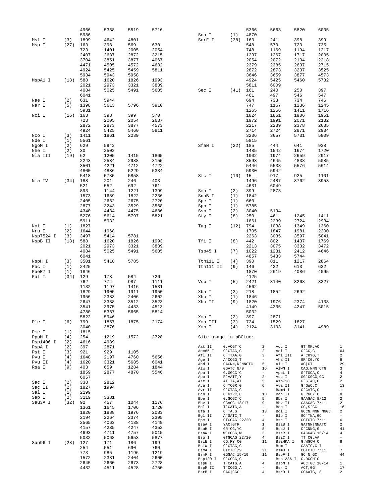|                 |            | 4966         | 5338         | 5519         | 5716         |                       |                                | 5366         |                          | 5663              | 5820                       | 6005            |
|-----------------|------------|--------------|--------------|--------------|--------------|-----------------------|--------------------------------|--------------|--------------------------|-------------------|----------------------------|-----------------|
| Msl I           | (3)        | 5986<br>1899 | 4642         | 4801         |              | Sca I<br>ScrF I       | (1)<br>(38)                    | 4870<br>163  |                          | 241               | 398                        | 399             |
| Msp I           | (27)       | 163          | 398          | 569          | 630          |                       |                                | 548          |                          | 570               | 723                        | 735             |
|                 |            | 723          | 1401         | 2005         | 2054         |                       |                                | 748          |                          | 1169              | 1194                       | 1217            |
|                 |            | 2407         | 2637         | 2872         | 3215         |                       |                                | 1237         |                          | 1267              | 1717                       | 2005            |
|                 |            | 3704         | 3851         | 3877         | 4067         |                       |                                | 2054         |                          | 2072              | 2134                       | 2218            |
|                 |            | 4471         | 4505         | 4572         | 4682         |                       |                                | 2379         |                          | 2385              | 2637                       | 2715            |
|                 |            | 4924         | 5425         | 5459         | 5811         |                       |                                | 2872         |                          | 2873              | 3237                       | 3525            |
|                 |            | 5934         | 5943         | 5958         |              |                       |                                | 3646         |                          | 3659              | 3877                       | 4573            |
| MspAl I         | (13)       | 588          | 1620         | 1826         | 1993         |                       |                                | 4924         |                          | 5425              | 5460                       | 5732            |
|                 |            | 2021         | 2973         | 3321         | 3839         |                       |                                | 5811         |                          | 6009              |                            |                 |
|                 |            | 4084         | 5025         | 5491         | 5685         | Sec I                 | (41)                           | 161          |                          | 240               | 250                        | 397             |
|                 |            | 6041         |              |              |              |                       |                                | 461          |                          | 497               | 546                        | 547             |
| Nae I           | (2)        | 631          | 5944         |              |              |                       |                                | 694          |                          | 733               | 734                        | 746             |
| Nar I           | (5)        | 1398         | 5613         | 5796         | 5910         |                       |                                | 747          |                          | 1167              | 1236                       | 1245            |
| Nci I           | (16)       | 5931<br>163  | 398          | 399          | 570          |                       |                                | 1265<br>1824 |                          | 1266<br>1861      | 1411<br>1906               | 1716<br>1951    |
|                 |            | 723          | 2005         | 2054         | 2637         |                       |                                | 1972         |                          | 1991              | 2071                       | 2132            |
|                 |            | 2872         | 2873         | 3877         | 4573         |                       |                                | 2217         |                          | 2239              | 2378                       | 2635            |
|                 |            | 4924         | 5425         | 5460         | 5811         |                       |                                | 2714         |                          | 2724              | 2871                       | 2934            |
| Nco I           | (3)        | 1411         | 1861         | 2239         |              |                       |                                | 3236         |                          | 3657              | 5731                       | 5809            |
| Nde I           | (1)        | 5561         |              |              |              |                       |                                | 5815         |                          |                   |                            |                 |
| NgoM I          | (2)        | 629          | 5942         |              |              | SfaN I                | (22)                           | 185          |                          | 444               | 641                        | 938             |
| Nhe I           | (2)        | 30           | 2502         |              |              |                       |                                | 1485         |                          | 1542              | 1674                       | 1720            |
| Nla III         | (19)       | 62           | 1205         | 1415         | 1865         |                       |                                | 1902         |                          | 1974              | 2659                       | 2917            |
|                 |            | 2243         | 2534         | 2988         | 3155         |                       |                                | 3593         |                          | 4645              | 4838                       | 5085            |
|                 |            | 3501         | 4221         | 4712         | 4722         |                       |                                | 5446         |                          | 5538              | 5576                       | 5614            |
|                 |            | 4800         | 4836         | 5229         | 5334         |                       |                                | 5930         |                          | 5942              |                            |                 |
|                 |            | 5418         | 5785         | 5858         |              | Sfc I                 | (10)                           | 15           |                          | 917               | 925                        | 1101            |
| Nla IV          | (34)       | 188          | 201          | 246          | 403          |                       |                                | 1496         |                          | 2487              | 3762                       | 3953            |
|                 |            | 521<br>893   | 552<br>1144  | 692          | 761          |                       |                                | 4631         |                          | 6049<br>2873      |                            |                 |
|                 |            | 1573         | 1689         | 1221<br>1822 | 1399<br>2236 | Sma I<br>SnaB I       | (2)<br>(1)                     | 399<br>1842  |                          |                   |                            |                 |
|                 |            | 2405         | 2662         | 2675         | 2720         | Spe I                 | (1)                            | 660          |                          |                   |                            |                 |
|                 |            | 2877         | 3243         | 3529         | 3568         | Sph I                 | (1)                            | 5785         |                          |                   |                            |                 |
|                 |            | 4340         | 4434         | 4475         | 4686         | Ssp I                 | (2)                            | 3040         |                          | 5194              |                            |                 |
|                 |            | 5276         | 5614         | 5797         | 5821         | Sty I                 | (8)                            | 250          |                          | 461               | 1245                       | 1411            |
|                 |            | 5911         | 5932         |              |              |                       |                                | 1861         |                          | 2239              | 2724                       | 2934            |
| Not I           | (1)        | 1827         |              |              |              | Taq I                 | (12)                           | 794          |                          | 1038              | 1349                       | 1360            |
| Nru I           | (2)        | 1644         | 1968         |              |              |                       |                                | 1705         |                          | 1847              | 1981                       | 2200            |
| Nsp7524 I       | (3)        | 3497         | 5414         | 5781         |              |                       |                                | 2263         |                          | 3035              | 3597                       | 5041            |
| NspB II         | (13)       | 588          | 1620         | 1826         | 1993         | Tfi I                 | (8)                            | 442          |                          | 802               | 1437                       | 1769            |
|                 |            | 2021         | 2973         | 3321         | 3839         |                       |                                | 2213         |                          | 3075              | 3332                       | 3472            |
|                 |            | 4084         | 5025         | 5491         | 5685         | Tsp45 I               | (7)                            | 1022         |                          | 1231              | 2412                       | 4646            |
|                 |            | 6041         |              |              |              |                       |                                | 4857         |                          | 5433              | 5744                       |                 |
| NspH I          | (3)        | 3501         | 5418         | 5785         |              | Tth111 I              | (4)                            | 390          |                          | 811               | 1217                       | 2864            |
| Pac I           | (1)        | 2425         |              |              |              | Tth111 II             | (9)                            | 146          |                          | 422               | 613                        | 632             |
| PaeR7 I         | (1)        | 1846         |              |              |              |                       |                                | 1870         |                          | 2619              | 4086                       | 4095            |
| Pal I           | (34)       | 129<br>762   | 173<br>774   | 584<br>987   | 726          |                       |                                | 4125<br>2421 |                          |                   |                            | 3327            |
|                 |            | 1132         | 1197         | 1416         | 1111<br>1531 | Vsp I                 | (5)                            | 4562         |                          | 3140              | 3268                       |                 |
|                 |            | 1829         | 1905         | 1911         | 1950         | Xba I                 | (3)                            | 218          |                          | 1852              | 2692                       |                 |
|                 |            | 1956         | 2383         | 2406         | 2602         | Xho I                 | (1)                            | 1846         |                          |                   |                            |                 |
|                 |            | 2647         | 3338         | 3512         | 3523         | Xho II                | (9)                            | 1820         |                          | 1976              | 2374                       | 4138            |
|                 |            | 3541         | 3975         | 4433         | 4513         |                       |                                | 4149         |                          | 4235              | 4247                       | 5015            |
|                 |            | 4780         | 5367         | 5665         | 5814         |                       |                                | 5032         |                          |                   |                            |                 |
|                 |            | 5822         | 5946         |              |              | Xma I                 | (2)                            | 397          |                          | 2871              |                            |                 |
| Ple I           | (6)        | 799          | 1857         | 1875         | 2174         | Xma III               | (3)                            | 724          |                          | 1529              | 1827                       |                 |
|                 |            | 3040         | 3876         |              |              | Xmn I                 | (4)                            | 2124         |                          | 3103              | 3141                       | 4989            |
| Pme I           | (1)        | 1815         |              |              |              |                       |                                |              |                          |                   |                            |                 |
| PpuM I          | (4)        | 254          | 1219         | 1572         | 2728         | Site usage in pBGLuc: |                                |              |                          |                   |                            |                 |
| Psp1406 I       | (2)        | 4616         | 4989         |              |              | Aat II                |                                |              |                          |                   | GT `MK, AC                 |                 |
| PspA I          | (2)        | 397          | 2871         |              |              | Acc65 I               | G, ACGT `C<br>G`GTAC, C        |              | 2<br>2                   | Acc I<br>Aci I    | $C^{\wedge}CG, C$          |                 |
| Pst I           | (3)        | 921          | 929          | 1105         |              | Afl II                | C`TTAA, G                      |              | 3                        | Afl III           | A`CRYG, T                  |                 |
| Pvu I<br>Pvu II | (4)<br>(4) | 1648<br>1620 | 2197<br>3321 | 4760<br>5685 | 5656<br>6041 | Age I                 | A`CCGG, T                      |              | $\overline{\phantom{a}}$ | Aha II            | GR CG, YC                  |                 |
| Rsa I           | (9)        | 403          | 659          | 1284         | 1844         | Ahd I                 | GACNN, N`NNGTC                 |              | 5                        | Alu I             | $AG$ $CT$                  |                 |
|                 |            | 1859         | 2877         | 4870         | 5546         | Alw I<br>Apa I        | GGATC 8/9<br>G, GGCC `C        |              | 16<br>$\sim$             | AlwN I<br>ApaL I  | CAG, NNN `CTG<br>G`TGCA, C |                 |
|                 |            | 6057         |              |              |              | Apo I                 | R`AATT, Y                      |              | $\overline{a}$           | Asc I             | GG `CGCG, CC               |                 |
| Sac I           | (2)        | 338          | 2812         |              |              | Ase I                 | AT`TA, AT                      |              | 5                        | Asp718            | G`GTAC, C                  |                 |
| Sac II          | (2)        | 1827         | 1994         |              |              | Ava I                 | $C^{\wedge}$ YCGR, G           |              | 6                        | Ava II            | $G$ $GWC$ , $C$            |                 |
| Sal I           | (1)        | 2199         |              |              |              | Avr II<br>Ban I       | $C$ $CTAG$ , $G$               |              | $\sim$<br>13             | BamH I            | $G$ $GATC$ , $C$           |                 |
| Sap I           | (2)        | 3119         | 3381         |              |              | Bbe I                 | $G$ $GYRC$ , $C$<br>G, GCGC `C |              | 5                        | Ban II<br>Bbs I   | G, RGCY `C<br>GAAGAC 8/12  |                 |
| Sau3A I         | (32)       | 92           | 457          | 1044         | 1176         | Bbv I                 | GCAGC 13/17                    |              | 9                        | Bbv II            | GAAGAC 7/11                |                 |
|                 |            | 1361         | 1645         | 1706         | 1720         | Bcl I                 | T`GATC, A                      |              | $\overline{\phantom{a}}$ | Bcn I             | $CC, S$ GG                 |                 |
|                 |            | 1820         | 1888         | 1976         | 2083         | Bfa I                 | $C^T A, G$                     |              | 13                       | Bgl I             |                            | GCCN, NNN `NGGC |
|                 |            | 2194         | 2264         | 2374         | 2395         | Bgl II<br>Bpm I       | A`GATC, T<br>CTGGAG 22/20      |              | $ \,$<br>$\overline{4}$  | Blp I<br>Bsa I    | GC `TNA, GC<br>GGTCTC 7/11 |                 |
|                 |            | 2565         | 4063         | 4138         | 4149         | BsaA I                | YAC GTR                        |              | $\mathbf{1}$             | BsaB I            | GATNN NNATC                |                 |
|                 |            | 4157         | 4235         | 4247         | 4352         | BsaH I                | GR CG, YC                      |              | 8                        | BsaJ I            | $C$ $\cap$ $CNNG$ , $G$    |                 |
|                 |            | 4693         | 4711         | 4757         | 5015         | BsaW I                | W`CCGG, W                      |              | 3                        | BseR I            | GAGGAG 16/14               |                 |
|                 |            | 5032         | 5068         | 5653         | 5877         | Bsg I                 | GTGCAG 22/20                   |              | $\overline{4}$<br>11     | BsiC I            | TT CG, AA<br>G, WGCW `C    |                 |
| Sau96 I         | (28)       | 127          | 171          | 186          | 199          | BsiE I<br>BsiW I      | CG, RY CG<br>$C$ $GTAC$ , $G$  |              | $\sim$                   | BsiHKA I<br>Bsm I | GAATG, C 7                 |                 |
|                 |            | 254          | 551          | 690          | 760          | BsmA I                | GTCTC 79                       |              | 21                       | BsmB I            | CGTCTC 7/11                |                 |
|                 |            | 773          | 985          | 1196         | 1219         | BsmF I                | GGGAC 15/19                    |              | 11                       | BsoF I            | $GC^N$ , $GC$              |                 |
|                 |            | 1572<br>2645 | 2381<br>2660 | 2404<br>2673 | 2600         | Bsp120 I              | G`GGCC, C                      |              | $\overline{\phantom{a}}$ |                   | Bsp1286 I G, DGCH C        |                 |
|                 |            | 4432         | 4511         | 4528         | 2728<br>4750 | BspH I<br>BspM II     | T CATG, A<br>T CCGG, A         |              | $\overline{4}$<br>$\sim$ | BspM I<br>Bsr I   | ACCTGC 10/14<br>ACT, GG    |                 |
|                 |            |              |              |              |              | BsrB I                | GAG   CGG                      |              | $\overline{4}$           | BsrD I            | GCAATG, 8                  |                 |
|                 |            |              |              |              |              |                       |                                |              |                          |                   |                            |                 |

 $\begin{array}{l} 1 \ 6 \ 4 \ 2 \ 8 \ 9 \ 3 \ 4 \ 2 \ 2 \ 1 \ 3 \ 1 \ 8 \ 2 \ 2 \ 1 \ 5 \ 2 \ 4 \ 1 \ 4 \ 4 \ 2 \ 8 \ 7 \ 4 \ 4 \ 1 \ 1 \ 7 \ 2 \end{array}$